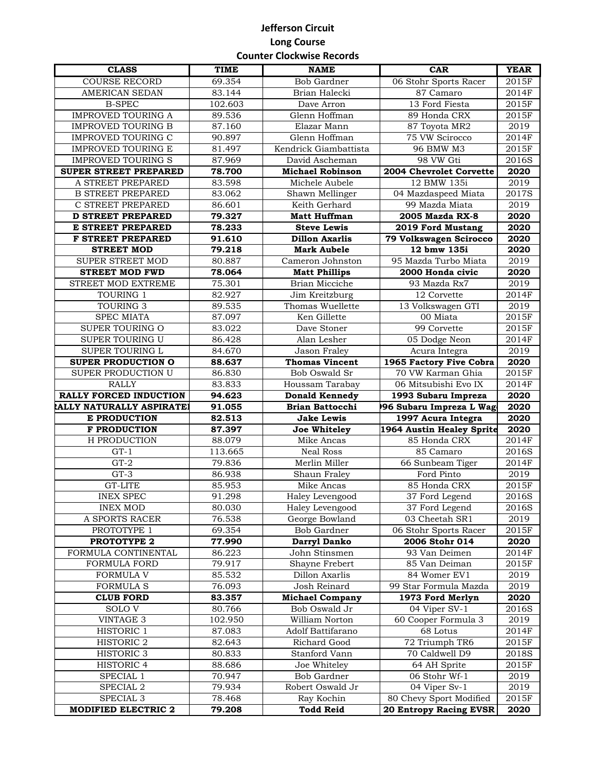### **Jefferson Circuit Long Course Counter Clockwise Records**

| <b>CLASS</b>                            | <b>TIME</b>      | <b>NAME</b>                        | <b>CAR</b>                                        | <b>YEAR</b>   |
|-----------------------------------------|------------------|------------------------------------|---------------------------------------------------|---------------|
| <b>COURSE RECORD</b>                    | 69.354           | Bob Gardner                        | 06 Stohr Sports Racer                             | 2015F         |
| AMERICAN SEDAN                          | 83.144           | Brian Halecki                      | 87 Camaro                                         | 2014F         |
| <b>B-SPEC</b>                           | 102.603          | Dave Arron                         | 13 Ford Fiesta                                    | 2015F         |
| <b>IMPROVED TOURING A</b>               | 89.536           | Glenn Hoffman                      | 89 Honda CRX                                      | 2015F         |
| <b>IMPROVED TOURING B</b>               | 87.160           | Elazar Mann                        | 87 Toyota MR2                                     | 2019          |
| IMPROVED TOURING C                      | 90.897           | Glenn Hoffman                      | 75 VW Scirocco                                    | 2014F         |
| <b>IMPROVED TOURING E</b>               | 81.497           | Kendrick Giambattista              | 96 BMW M3                                         | 2015F         |
| <b>IMPROVED TOURING S</b>               | 87.969           | David Ascheman                     | 98 VW Gti                                         | 2016S         |
| SUPER STREET PREPARED                   | 78.700           | <b>Michael Robinson</b>            | 2004 Chevrolet Corvette                           | 2020          |
| A STREET PREPARED                       | 83.598           | Michele Aubele                     | 12 BMW 135i                                       | 2019          |
| <b>B STREET PREPARED</b>                | 83.062           | Shawn Mellinger                    | 04 Mazdaspeed Miata                               | 2017S         |
| C STREET PREPARED                       | 86.601           | Keith Gerhard                      | 99 Mazda Miata                                    | 2019          |
| <b>D STREET PREPARED</b>                | 79.327           | <b>Matt Huffman</b>                | 2005 Mazda RX-8                                   | 2020          |
| E STREET PREPARED                       | 78.233           | <b>Steve Lewis</b>                 | 2019 Ford Mustang                                 | 2020          |
| <b>F STREET PREPARED</b>                | 91.610           | <b>Dillon Axarlis</b>              | 79 Volkswagen Scirocco                            | 2020          |
| <b>STREET MOD</b>                       | 79.218           | <b>Mark Aubele</b>                 | 12 bmw 135i                                       | 2020          |
| SUPER STREET MOD                        | 80.887           | Cameron Johnston                   | 95 Mazda Turbo Miata                              | 2019          |
| <b>STREET MOD FWD</b>                   | 78.064           | <b>Matt Phillips</b>               | 2000 Honda civic                                  | 2020          |
| STREET MOD EXTREME                      | 75.301           | <b>Brian Micciche</b>              | 93 Mazda Rx7                                      | 2019          |
| TOURING 1<br><b>TOURING 3</b>           | 82.927           | Jim Kreitzburg<br>Thomas Wuellette | 12 Corvette                                       | 2014F         |
| <b>SPEC MIATA</b>                       | 89.535<br>87.097 | Ken Gillette                       | 13 Volkswagen GTI<br>00 Miata                     | 2019<br>2015F |
| SUPER TOURING O                         | 83.022           | Dave Stoner                        | 99 Corvette                                       | 2015F         |
| SUPER TOURING U                         | 86.428           | Alan Lesher                        | 05 Dodge Neon                                     | 2014F         |
| SUPER TOURING L                         | 84.670           | Jason Fraley                       | Acura Integra                                     | 2019          |
| <b>SUPER PRODUCTION O</b>               | 88.637           | <b>Thomas Vincent</b>              | 1965 Factory Five Cobra                           | 2020          |
| SUPER PRODUCTION U                      | 86.830           | Bob Oswald Sr                      | 70 VW Karman Ghia                                 | 2015F         |
| <b>RALLY</b>                            | 83.833           | Houssam Tarabay                    | 06 Mitsubishi Evo IX                              | 2014F         |
| RALLY FORCED INDUCTION                  | 94.623           | <b>Donald Kennedy</b>              | 1993 Subaru Impreza                               | 2020          |
| <b>!ALLY NATURALLY ASPIRATE!</b>        | 91.055           | <b>Brian Battocchi</b>             | 96 Subaru Impreza L Wag                           | 2020          |
| <b>E PRODUCTION</b>                     | 82.513           | <b>Jake Lewis</b>                  | 1997 Acura Integra                                | 2020          |
| <b>F PRODUCTION</b>                     | 87.397           | Joe Whiteley                       | 1964 Austin Healey Sprite                         | 2020          |
| H PRODUCTION                            | 88.079           | Mike Ancas                         | 85 Honda CRX                                      | 2014F         |
| $GT-1$                                  | 113.665          | <b>Neal Ross</b>                   | 85 Camaro                                         | 2016S         |
| $GT-2$                                  | 79.836           | Merlin Miller                      | 66 Sunbeam Tiger                                  | 2014F         |
| $GT-3$                                  | 86.938           | Shaun Fraley                       | Ford Pinto                                        | 2019          |
| <b>GT-LITE</b>                          | 85.953           | Mike Ancas                         | 85 Honda CRX                                      | 2015F         |
| <b>INEX SPEC</b>                        | 91.298           | Haley Levengood                    | 37 Ford Legend                                    | 2016S         |
| <b>INEX MOD</b>                         | 80.030           | Haley Levengood                    | 37 Ford Legend                                    | 2016S         |
| A SPORTS RACER                          |                  | George Bowland                     |                                                   |               |
|                                         | 76.538           |                                    | 03 Cheetah SR1                                    | 2019          |
| PROTOTYPE 1                             | 69.354           | Bob Gardner                        | 06 Stohr Sports Racer                             | 2015F         |
| <b>PROTOTYPE 2</b>                      | 77.990           | Darryl Danko                       | 2006 Stohr 014                                    | 2020          |
| FORMULA CONTINENTAL                     | 86.223           | John Stinsmen                      | 93 Van Deimen                                     | 2014F         |
| FORMULA FORD                            | 79.917           | Shayne Frebert                     | 85 Van Deiman                                     | 2015F         |
| FORMULA V                               | 85.532           | Dillon Axarlis                     | 84 Womer EV1                                      | 2019          |
| FORMULA S                               | 76.093           | Josh Reinard                       | 99 Star Formula Mazda                             | 2019          |
| <b>CLUB FORD</b>                        | 83.357           | <b>Michael Company</b>             | 1973 Ford Merlyn                                  | 2020          |
| SOLO V                                  | 80.766           | Bob Oswald Jr                      | 04 Viper SV-1                                     | 2016S         |
| VINTAGE 3                               | 102.950          | William Norton                     | 60 Cooper Formula 3                               | 2019          |
| HISTORIC 1                              | 87.083           | Adolf Battifarano                  | 68 Lotus                                          | 2014F         |
| HISTORIC <sub>2</sub>                   | 82.643           | Richard Good                       | 72 Triumph TR6                                    | 2015F         |
| HISTORIC 3                              | 80.833           | Stanford Vann                      | 70 Caldwell D9                                    | 2018S         |
| HISTORIC 4                              | 88.686           | Joe Whiteley                       | 64 AH Sprite                                      | 2015F         |
| SPECIAL 1                               | 70.947           | Bob Gardner                        | 06 Stohr Wf-1                                     | 2019          |
| SPECIAL 2                               | 79.934           | Robert Oswald Jr                   | 04 Viper Sv-1                                     | 2019          |
| SPECIAL 3<br><b>MODIFIED ELECTRIC 2</b> | 78.468<br>79.208 | Ray Kochin<br><b>Todd Reid</b>     | 80 Chevy Sport Modified<br>20 Entropy Racing EVSR | 2015F<br>2020 |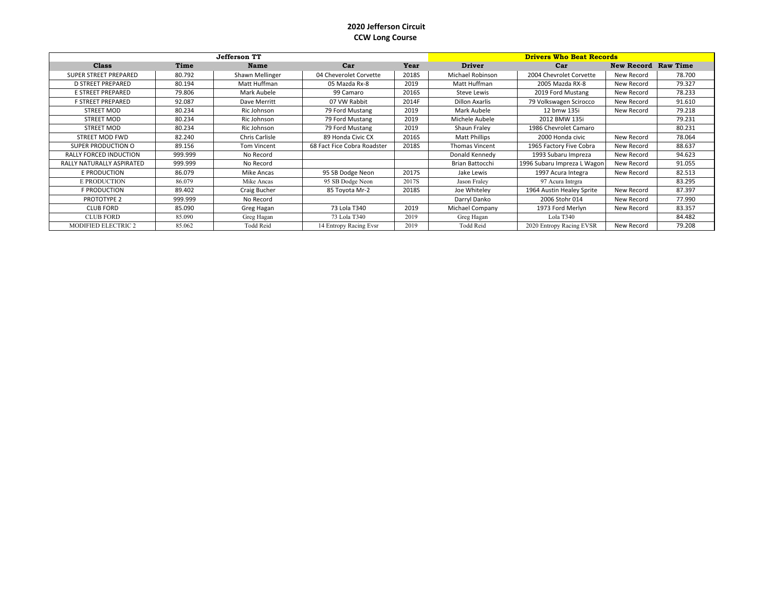#### **2020 Jefferson Circuit CCW Long Course**

|                               |         | Jefferson TT     |                             | <b>Drivers Who Beat Records</b> |                       |                             |                     |        |  |
|-------------------------------|---------|------------------|-----------------------------|---------------------------------|-----------------------|-----------------------------|---------------------|--------|--|
| <b>Class</b>                  | Time    | <b>Name</b>      | Car                         | Year                            | <b>Driver</b>         | Car                         | New Record Raw Time |        |  |
| <b>SUPER STREET PREPARED</b>  | 80.792  | Shawn Mellinger  | 04 Cheverolet Corvette      | 2018S                           | Michael Robinson      | 2004 Chevrolet Corvette     | New Record          | 78.700 |  |
| <b>D STREET PREPARED</b>      | 80.194  | Matt Huffman     | 05 Mazda Rx-8               | 2019                            | Matt Huffman          | 2005 Mazda RX-8             | New Record          | 79.327 |  |
| <b>E STREET PREPARED</b>      | 79.806  | Mark Aubele      | 99 Camaro                   | 2016S                           | <b>Steve Lewis</b>    | 2019 Ford Mustang           | New Record          | 78.233 |  |
| <b>F STREET PREPARED</b>      | 92.087  | Dave Merritt     | 07 VW Rabbit                | 2014F                           | Dillon Axarlis        | 79 Volkswagen Scirocco      | New Record          | 91.610 |  |
| <b>STREET MOD</b>             | 80.234  | Ric Johnson      | 79 Ford Mustang             | 2019                            | Mark Aubele           | 12 bmw 135i                 | New Record          | 79.218 |  |
| <b>STREET MOD</b>             | 80.234  | Ric Johnson      | 79 Ford Mustang             | 2019                            | Michele Aubele        | 2012 BMW 135i               |                     | 79.231 |  |
| <b>STREET MOD</b>             | 80.234  | Ric Johnson      | 79 Ford Mustang             | 2019                            | Shaun Fraley          | 1986 Chevrolet Camaro       |                     | 80.231 |  |
| <b>STREET MOD FWD</b>         | 82.240  | Chris Carlisle   | 89 Honda Civic CX           | 2016S                           | <b>Matt Phillips</b>  | 2000 Honda civic            | New Record          | 78.064 |  |
| SUPER PRODUCTION O            | 89.156  | Tom Vincent      | 68 Fact Fice Cobra Roadster | 2018S                           | <b>Thomas Vincent</b> | 1965 Factory Five Cobra     | New Record          | 88.637 |  |
| <b>RALLY FORCED INDUCTION</b> | 999.999 | No Record        |                             |                                 | Donald Kennedy        | 1993 Subaru Impreza         | New Record          | 94.623 |  |
| RALLY NATURALLY ASPIRATED     | 999.999 | No Record        |                             |                                 | Brian Battocchi       | 1996 Subaru Impreza L Wagon | New Record          | 91.055 |  |
| E PRODUCTION                  | 86.079  | Mike Ancas       | 95 SB Dodge Neon            | 2017S                           | Jake Lewis            | 1997 Acura Integra          | New Record          | 82.513 |  |
| E PRODUCTION                  | 86.079  | Mike Ancas       | 95 SB Dodge Neon            | 2017S                           | Jason Fraley          | 97 Acura Intrgra            |                     | 83.295 |  |
| <b>F PRODUCTION</b>           | 89.402  | Craig Bucher     | 85 Toyota Mr-2              | 2018S                           | Joe Whiteley          | 1964 Austin Healey Sprite   | New Record          | 87.397 |  |
| PROTOTYPE 2                   | 999.999 | No Record        |                             |                                 | Darryl Danko          | 2006 Stohr 014              | New Record          | 77.990 |  |
| <b>CLUB FORD</b>              | 85.090  | Greg Hagan       | 73 Lola T340                | 2019                            | Michael Company       | 1973 Ford Merlyn            | New Record          | 83.357 |  |
| <b>CLUB FORD</b>              | 85.090  | Greg Hagan       | 73 Lola T340                | 2019                            | Greg Hagan            | Lola T340                   |                     | 84.482 |  |
| <b>MODIFIED ELECTRIC 2</b>    | 85.062  | <b>Todd Reid</b> | 14 Entropy Racing Evsr      | 2019                            | Todd Reid             | 2020 Entropy Racing EVSR    | New Record          | 79.208 |  |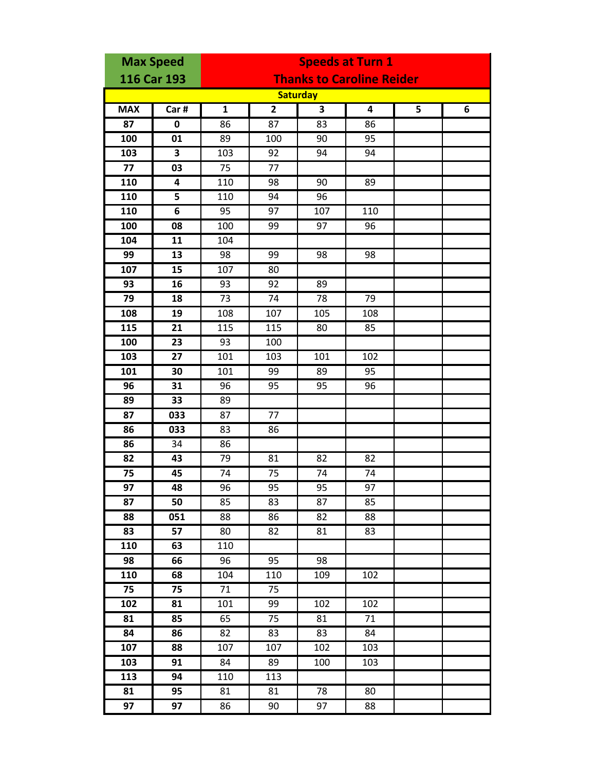|                 | <b>Max Speed</b>        | <b>Speeds at Turn 1</b>          |                  |                 |                 |   |   |  |  |
|-----------------|-------------------------|----------------------------------|------------------|-----------------|-----------------|---|---|--|--|
|                 | 116 Car 193             | <b>Thanks to Caroline Reider</b> |                  |                 |                 |   |   |  |  |
|                 |                         |                                  |                  | <b>Saturday</b> |                 |   |   |  |  |
| <b>MAX</b>      | Car#                    | $\mathbf{1}$                     | $\overline{2}$   | 3               | 4               | 5 | 6 |  |  |
| 87              | 0                       | 86                               | 87               | 83              | 86              |   |   |  |  |
| 100             | 01                      | 89                               | 100              | 90              | $\overline{95}$ |   |   |  |  |
| 103             | 3                       | 103                              | 92               | 94              | 94              |   |   |  |  |
| $\overline{77}$ | 03                      | 75                               | 77               |                 |                 |   |   |  |  |
| 110             | 4                       | 110                              | 98               | 90              | 89              |   |   |  |  |
| 110             | 5                       | 110                              | 94               | 96              |                 |   |   |  |  |
| 110             | $\overline{\mathbf{6}}$ | 95                               | 97               | 107             | 110             |   |   |  |  |
| 100             | 08                      | 100                              | 99               | $\overline{97}$ | 96              |   |   |  |  |
| 104             | 11                      | 104                              |                  |                 |                 |   |   |  |  |
| 99              | $\overline{13}$         | 98                               | 99               | 98              | 98              |   |   |  |  |
| 107             | 15                      | 107                              | 80               |                 |                 |   |   |  |  |
| 93              | 16                      | 93                               | 92               | 89              |                 |   |   |  |  |
| 79              | 18                      | 73                               | 74               | 78              | 79              |   |   |  |  |
| 108             | 19                      | 108                              | 107              | 105             | 108             |   |   |  |  |
| 115             | 21                      | 115                              | $\overline{1}15$ | 80              | 85              |   |   |  |  |
| 100             | 23                      | 93                               | 100              |                 |                 |   |   |  |  |
| 103             | 27                      | 101                              | $\overline{1}03$ | 101             | 102             |   |   |  |  |
| 101             | 30                      | 101                              | 99               | 89              | 95              |   |   |  |  |
| 96              | 31                      | 96                               | 95               | 95              | 96              |   |   |  |  |
| 89              | 33                      | 89                               |                  |                 |                 |   |   |  |  |
| 87              | $\overline{033}$        | 87                               | $\overline{77}$  |                 |                 |   |   |  |  |
| 86              | 033                     | 83                               | 86               |                 |                 |   |   |  |  |
| 86              | 34                      | 86                               |                  |                 |                 |   |   |  |  |
| 82              | 43                      | 79                               | 81               | 82              | 82              |   |   |  |  |
| 75              | 45                      | $\overline{7}$ 4                 | 75               | 74              | 74              |   |   |  |  |
| 97              | 48                      | 96                               | 95               | 95              | 97              |   |   |  |  |
| 87              | 50                      | 85                               | 83               | 87              | 85              |   |   |  |  |
| 88              | 051                     | 88                               | 86               | 82              | 88              |   |   |  |  |
| 83              | 57                      | 80                               | 82               | 81              | 83              |   |   |  |  |
| 110             | 63                      | 110                              |                  |                 |                 |   |   |  |  |
| 98              | 66                      | 96                               | 95               | 98              |                 |   |   |  |  |
| 110             | 68                      | 104                              | 110              | 109             | 102             |   |   |  |  |
| 75              | 75                      | $\overline{71}$                  | $\overline{7}5$  |                 |                 |   |   |  |  |
| 102             | 81                      | 101                              | 99               | 102             | 102             |   |   |  |  |
| 81              | 85                      | 65                               | 75               | 81              | $\overline{71}$ |   |   |  |  |
| 84              | 86                      | 82                               | 83               | 83              | 84              |   |   |  |  |
| 107             | 88                      | 107                              | 107              | 102             | 103             |   |   |  |  |
| 103             | 91                      | 84                               | 89               | 100             | 103             |   |   |  |  |
| 113             | 94                      | 110                              | 113              |                 |                 |   |   |  |  |
| 81              | 95                      | 81                               | 81               | 78              | 80              |   |   |  |  |
| 97              | 97                      | 86                               | 90               | 97              | 88              |   |   |  |  |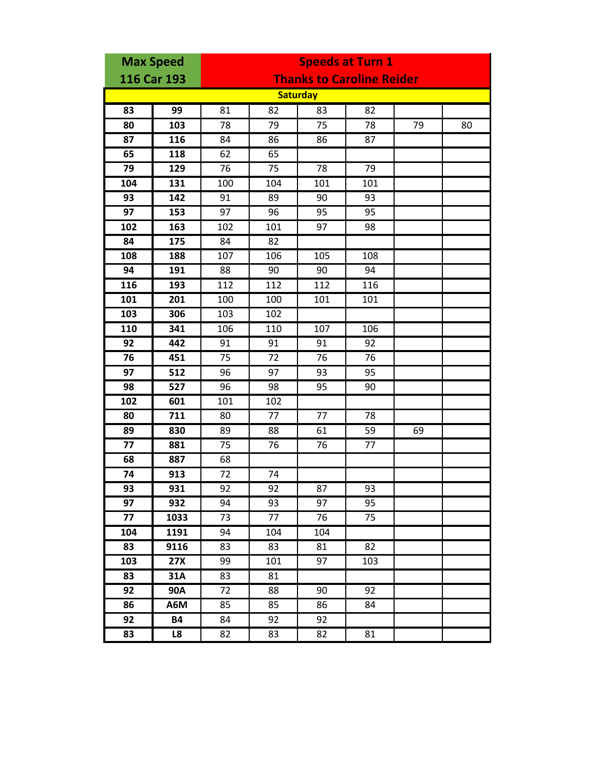| <b>Max Speed</b> |                  |                                  |                 | <b>Speeds at Turn 1</b> |                 |    |    |  |  |
|------------------|------------------|----------------------------------|-----------------|-------------------------|-----------------|----|----|--|--|
|                  | 116 Car 193      | <b>Thanks to Caroline Reider</b> |                 |                         |                 |    |    |  |  |
|                  |                  |                                  |                 | <b>Saturday</b>         |                 |    |    |  |  |
| 83               | 99               | 81                               | 82              | 83                      | 82              |    |    |  |  |
| 80               | 103              | 78                               | 79              | 75                      | 78              | 79 | 80 |  |  |
| 87               | 116              | 84                               | 86              | 86                      | 87              |    |    |  |  |
| 65               | 118              | 62                               | 65              |                         |                 |    |    |  |  |
| 79               | 129              | 76                               | 75              | 78                      | 79              |    |    |  |  |
| 104              | 131              | 100                              | 104             | 101                     | 101             |    |    |  |  |
| 93               | $\overline{142}$ | 91                               | 89              | 90                      | 93              |    |    |  |  |
| 97               | 153              | 97                               | 96              | 95                      | 95              |    |    |  |  |
| 102              | 163              | 102                              | 101             | 97                      | 98              |    |    |  |  |
| 84               | 175              | 84                               | 82              |                         |                 |    |    |  |  |
| 108              | 188              | 107                              | 106             | 105                     | 108             |    |    |  |  |
| 94               | 191              | 88                               | 90              | 90                      | 94              |    |    |  |  |
| 116              | 193              | 112                              | 112             | $\overline{112}$        | 116             |    |    |  |  |
| 101              | 201              | 100                              | 100             | 101                     | 101             |    |    |  |  |
| 103              | 306              | 103                              | 102             |                         |                 |    |    |  |  |
| 110              | 341              | 106                              | 110             | 107                     | 106             |    |    |  |  |
| 92               | 442              | 91                               | 91              | 91                      | 92              |    |    |  |  |
| 76               | 451              | 75                               | 72              | 76                      | 76              |    |    |  |  |
| $\overline{97}$  | $\overline{512}$ | 96                               | $\overline{97}$ | $\overline{93}$         | $\overline{95}$ |    |    |  |  |
| 98               | 527              | 96                               | 98              | 95                      | 90              |    |    |  |  |
| 102              | 601              | 101                              | 102             |                         |                 |    |    |  |  |
| 80               | 711              | 80                               | 77              | 77                      | 78              |    |    |  |  |
| 89               | 830              | 89                               | 88              | 61                      | 59              | 69 |    |  |  |
| 77               | 881              | 75                               | 76              | 76                      | 77              |    |    |  |  |
| 68               | 887              | 68                               |                 |                         |                 |    |    |  |  |
| 74               | 913              | 72                               | 74              |                         |                 |    |    |  |  |
| 93               | 931              | 92                               | 92              | 87                      | 93              |    |    |  |  |
| 97               | 932              | 94                               | 93              | 97                      | 95              |    |    |  |  |
| 77               | 1033             | 73                               | 77              | 76                      | 75              |    |    |  |  |
| 104              | 1191             | 94                               | 104             | 104                     |                 |    |    |  |  |
| 83               | 9116             | 83                               | $\overline{8}3$ | 81                      | 82              |    |    |  |  |
| 103              | 27X              | 99                               | 101             | 97                      | 103             |    |    |  |  |
| 83               | 31A              | 83                               | 81              |                         |                 |    |    |  |  |
| 92               | 90A              | 72                               | 88              | 90                      | 92              |    |    |  |  |
| 86               | A6M              | 85                               | 85              | 86                      | 84              |    |    |  |  |
| 92               | <b>B4</b>        | 84                               | 92              | 92                      |                 |    |    |  |  |
| 83               | L <sub>8</sub>   | 82                               | 83              | 82                      | 81              |    |    |  |  |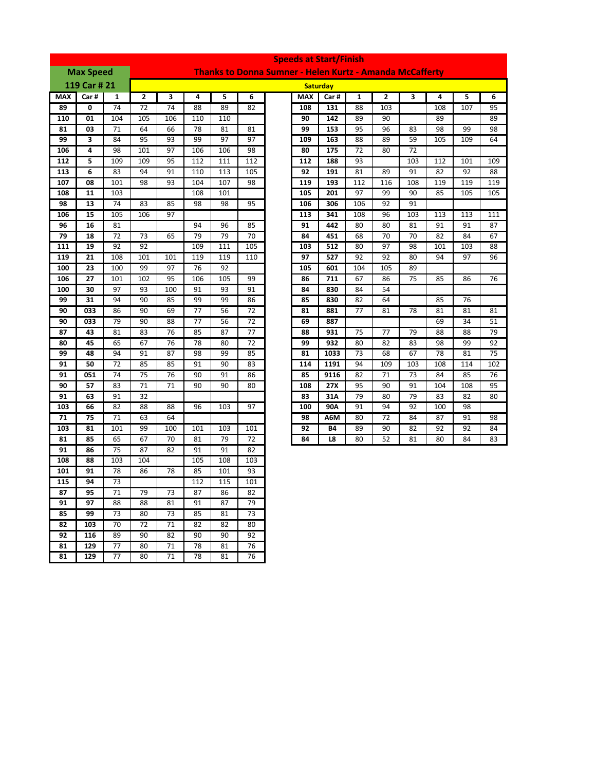|            |                  |              | <b>Speeds at Start/Finish</b> |          |     |     |     |                                                          |            |                 |          |                         |                 |           |          |     |
|------------|------------------|--------------|-------------------------------|----------|-----|-----|-----|----------------------------------------------------------|------------|-----------------|----------|-------------------------|-----------------|-----------|----------|-----|
|            | <b>Max Speed</b> |              |                               |          |     |     |     | Thanks to Donna Sumner - Helen Kurtz - Amanda McCafferty |            |                 |          |                         |                 |           |          |     |
|            | 119 Car # 21     |              |                               |          |     |     |     |                                                          |            | <b>Saturday</b> |          |                         |                 |           |          |     |
| <b>MAX</b> | Car#             | $\mathbf{1}$ | $\mathbf{2}$                  | 3        | 4   | 5   | 6   |                                                          | <b>MAX</b> | Car#            | 1        | $\overline{\mathbf{2}}$ | 3               | 4         | 5        | 6   |
| 89         | 0                | 74           | 72                            | 74       | 88  | 89  | 82  |                                                          | 108        | 131             | 88       | 103                     |                 | 108       | 107      | 95  |
| 110        | 01               | 104          | 105                           | 106      | 110 | 110 |     |                                                          | 90         | 142             | 89       | 90                      |                 | 89        |          | 89  |
| 81         | 03               | 71           | 64                            | 66       | 78  | 81  | 81  |                                                          | 99         | 153             | 95       | 96                      | 83              | 98        | 99       | 98  |
| 99         | 3                | 84           | 95                            | 93       | 99  | 97  | 97  |                                                          | 109        | 163             | 88       | 89                      | 59              | 105       | 109      | 64  |
| 106        | 4                | 98           | 101                           | 97       | 106 | 106 | 98  |                                                          | 80         | 175             | 72       | 80                      | 72              |           |          |     |
| 112        | 5                | 109          | 109                           | 95       | 112 | 111 | 112 |                                                          | 112        | 188             | 93       |                         | 103             | 112       | 101      | 109 |
| 113        | 6                | 83           | 94                            | 91       | 110 | 113 | 105 |                                                          | 92         | 191             | 81       | 89                      | 91              | 82        | 92       | 88  |
| 107        | 08               | 101          | 98                            | 93       | 104 | 107 | 98  |                                                          | 119        | 193             | 112      | 116                     | 108             | 119       | 119      | 119 |
| 108        | 11               | 103          |                               |          | 108 | 101 |     |                                                          | 105        | 201             | 97       | 99                      | 90              | 85        | 105      | 105 |
| 98         | 13               | 74           | 83                            | 85       | 98  | 98  | 95  |                                                          | 106        | 306             | 106      | 92                      | 91              |           |          |     |
| 106        | 15               | 105          | 106                           | 97       |     |     |     |                                                          | 113        | 341             | 108      | 96                      | 103             | 113       | 113      | 111 |
| 96         | 16               | 81           |                               |          | 94  | 96  | 85  |                                                          | 91         | 442             | 80       | 80                      | 81              | 91        | 91       | 87  |
| 79         | 18               | 72           | 73                            | 65       | 79  | 79  | 70  |                                                          | 84         | 451             | 68       | 70                      | 70              | 82        | 84       | 67  |
| 111        | 19               | 92           | 92                            |          | 109 | 111 | 105 |                                                          | 103        | 512             | 80       | 97                      | 98              | 101       | 103      | 88  |
| 119        | 21               | 108          | 101                           | 101      | 119 | 119 | 110 |                                                          | 97         | 527             | 92       | 92                      | 80              | 94        | 97       | 96  |
| 100        | 23               | 100          | 99                            | 97       | 76  | 92  |     |                                                          | 105        | 601             | 104      | 105                     | 89              |           |          |     |
| 106        | 27               | 101          | 102                           | 95       | 106 | 105 | 99  |                                                          | 86         | 711             | 67       | 86                      | $\overline{75}$ | 85        | 86       | 76  |
| 100        | 30               | 97           | 93                            | 100      | 91  | 93  | 91  |                                                          | 84         | 830             | 84       | 54                      |                 |           |          |     |
| 99         | 31               | 94           | 90                            | 85       | 99  | 99  | 86  |                                                          | 85         | 830             | 82       | 64                      |                 | 85        | 76       |     |
| 90         | 033              | 86           | 90                            | 69       | 77  | 56  | 72  |                                                          | 81         | 881             | 77       | 81                      | 78              | 81        | 81       | 81  |
| 90         | 033              | 79           | 90                            | 88       | 77  | 56  | 72  |                                                          | 69         | 887             |          |                         |                 | 69        | 34       | 51  |
| 87         | 43               | 81           | 83                            | 76       | 85  | 87  | 77  |                                                          | 88         | 931             | 75       | 77                      | 79              | 88        | 88       | 79  |
| 80         | 45               | 65           | 67                            | 76       | 78  | 80  | 72  |                                                          | 99         | 932             | 80       | 82                      | 83              | 98        | 99       | 92  |
| 99         | 48               | 94           | 91                            | 87       | 98  | 99  | 85  |                                                          | 81         | 1033            | 73       | 68                      | 67              | 78        | 81       | 75  |
| 91         | 50               | 72           | 85                            | 85       | 91  | 90  | 83  |                                                          | 114        | 1191            | 94       | 109                     | 103             | 108       | 114      | 102 |
| 91         | 051              | 74           | 75                            | 76       | 90  | 91  | 86  |                                                          | 85         | 9116            | 82       | 71                      | 73              | 84        | 85       | 76  |
| 90         | 57               | 83           | 71                            | 71       | 90  | 90  | 80  |                                                          | 108        | 27X             | 95       | 90                      | 91              | 104       | 108      | 95  |
| 91         | 63               | 91<br>82     | 32                            |          |     | 103 | 97  |                                                          | 83<br>100  | 31A<br>90A      | 79<br>91 | 80<br>94                | 79              | 83        | 82<br>98 | 80  |
| 103<br>71  | 66<br>75         | 71           | 88<br>63                      | 88<br>64 | 96  |     |     |                                                          | 98         | A6M             | 80       | 72                      | 92<br>84        | 100<br>87 | 91       | 98  |
| 103        | 81               | 101          | 99                            | 100      | 101 | 103 | 101 |                                                          | 92         | <b>B4</b>       | 89       | 90                      | 82              | 92        | 92       | 84  |
| 81         | 85               | 65           | 67                            | 70       | 81  | 79  | 72  |                                                          | 84         | L8              | 80       | 52                      | 81              | 80        | 84       | 83  |
| 91         | 86               | 75           | 87                            | 82       | 91  | 91  | 82  |                                                          |            |                 |          |                         |                 |           |          |     |
| 108        | 88               | 103          | 104                           |          | 105 | 108 | 103 |                                                          |            |                 |          |                         |                 |           |          |     |
| 101        | 91               | 78           | 86                            | 78       | 85  | 101 | 93  |                                                          |            |                 |          |                         |                 |           |          |     |
| 115        | 94               | 73           |                               |          | 112 | 115 | 101 |                                                          |            |                 |          |                         |                 |           |          |     |
| 87         | 95               | 71           | 79                            | 73       | 87  | 86  | 82  |                                                          |            |                 |          |                         |                 |           |          |     |
| 91         | 97               | 88           | 88                            | 81       | 91  | 87  | 79  |                                                          |            |                 |          |                         |                 |           |          |     |
| 85         | 99               | 73           | 80                            | 73       | 85  | 81  | 73  |                                                          |            |                 |          |                         |                 |           |          |     |
| 82         | 103              | 70           | 72                            | 71       | 82  | 82  | 80  |                                                          |            |                 |          |                         |                 |           |          |     |
| 92         | 116              | 89           | 90                            | 82       | 90  | 90  | 92  |                                                          |            |                 |          |                         |                 |           |          |     |
| 81         | 129              | 77           | 80                            | 71       | 78  | 81  | 76  |                                                          |            |                 |          |                         |                 |           |          |     |

**81 129** 77 80 71 78 81 76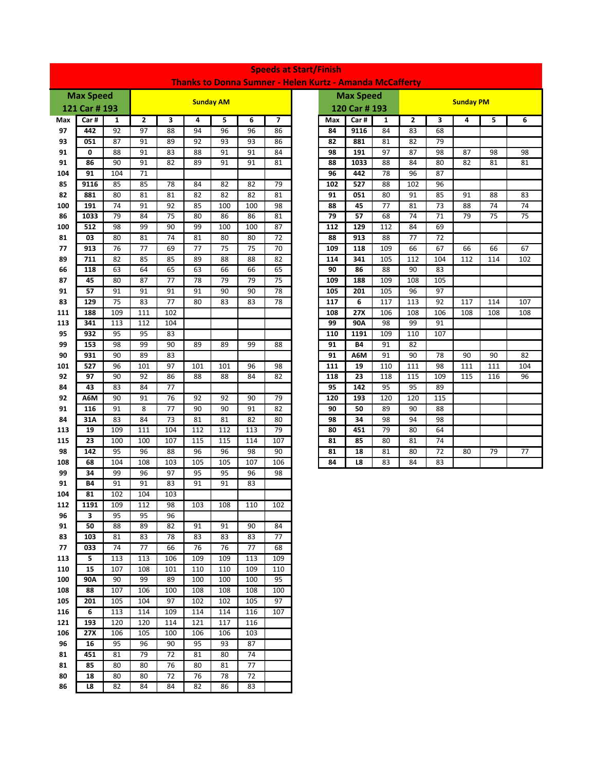|     |                  |                 |                         |                 | <b>Thanks to Donna Sumner - Helen Kurtz - Amanda McCafferty</b> |                  |     |                 |
|-----|------------------|-----------------|-------------------------|-----------------|-----------------------------------------------------------------|------------------|-----|-----------------|
|     | <b>Max Speed</b> |                 |                         |                 |                                                                 |                  |     |                 |
|     | 121 Car # 193    |                 |                         |                 |                                                                 | <b>Sunday AM</b> |     |                 |
| Max | Car#             | 1               | $\overline{\mathbf{2}}$ | 3               | 4                                                               | 5                | 6   | $\overline{7}$  |
| 97  | 442              | 92              | $\overline{97}$         | 88              | 94                                                              | 96               | 96  | 86              |
| 93  | 051              | 87              | 91                      | 89              | 92                                                              | 93               | 93  | 86              |
| 91  | 0                | 88              | 91                      | 83              | 88                                                              | 91               | 91  | 84              |
| 91  | 86               | 90              | 91                      | 82              | 89                                                              | 91               | 91  | 81              |
| 104 | 91               | 104             | 71                      |                 |                                                                 |                  |     |                 |
| 85  | 9116             | 85              | 85                      | 78              | 84                                                              | 82               | 82  | 79              |
| 82  | 881              | 80              | 81                      | 81              | 82                                                              | 82               | 82  | 81              |
| 100 | 191              | 74              | 91                      | 92              | 85                                                              | 100              | 100 | 98              |
| 86  | 1033             | 79              | 84                      | $\overline{75}$ | 80                                                              | 86               | 86  | 81              |
| 100 | 512              | 98              | 99                      | 90              | 99                                                              | 100              | 100 | 87              |
| 81  | 03               | 80              | 81                      | 74              | 81                                                              | 80               | 80  | 72              |
| 77  | 913              | 76              | 77                      | 69              | 77                                                              | 75               | 75  | 70              |
| 89  | 711              | 82              | 85                      | 85              | 89                                                              | 88               | 88  | 82              |
| 66  | 118              | 63              | 64                      | 65              | 63                                                              | 66               | 66  | 65              |
| 87  | 45               | 80              | 87                      | $\overline{77}$ | 78                                                              | 79               | 79  | 75              |
| 91  | 57               | 91              | 91                      | 91              | 91                                                              | 90               | 90  | 78              |
| 83  | 129              | $\overline{75}$ | 83                      | 77              | 80                                                              | 83               | 83  | $\overline{78}$ |
| 111 | 188              | 109             | 111                     | 102             |                                                                 |                  |     |                 |
| 113 | 341              | 113             | 112                     | 104             |                                                                 |                  |     |                 |
| 95  | 932              | 95              | 95                      | 83              |                                                                 |                  |     |                 |
| 99  | 153              | 98              | 99                      | 90              | 89                                                              | 89               | 99  | 88              |
| 90  | 931              | 90              | 89                      | 83              |                                                                 |                  |     |                 |
| 101 | 527              | 96              | 101                     | 97              | 101                                                             | 101              | 96  | 98              |
| 92  | 97               | 90              | 92                      | 86              | 88                                                              | 88               | 84  | 82              |
| 84  | 43               | 83              | 84                      | 77              |                                                                 |                  |     |                 |
| 92  | A6M              | 90              | 91                      | 76              | 92                                                              | 92               | 90  | 79              |
| 91  | 116              | 91              | 8                       | 77              | 90                                                              | 90               | 91  | 82              |
| 84  | 31A              | 83              | 84                      | 73              | 81                                                              | 81               | 82  | 80              |
| 113 | 19               | 109             | 111                     | 104             | 112                                                             | 112              | 113 | 79              |
| 115 | 23               | 100             | 100                     | 107             | 115                                                             | 115              | 114 | 107             |
| 98  | 142              | 95              | 96                      | 88              | 96                                                              | 96               | 98  | 90              |
| 108 | 68               | 104             | 108                     | 103             | 105                                                             | 105              | 107 | 106             |
| 99  | 34               | 99              | 96                      | 97              | 95                                                              | 95               | 96  | 98              |
| 91  | <b>B4</b>        | 91              | 91                      | 83              | 91                                                              | 91               | 83  |                 |
| 104 | 81               | 102             | 104                     | 103             |                                                                 |                  |     |                 |
| 112 | 1191             | 109             | 112                     | 98              | 103                                                             | 108              | 110 | 102             |
| 96  | з                | 95              | 95                      | 96              |                                                                 |                  |     |                 |
| 91  | 50               | 88              | 89                      | 82              | 91                                                              | 91               | 90  | 84              |
| 83  | 103              | 81              | 83                      | 78              | 83                                                              | 83               | 83  | 77              |
| 77  | 033              | 74              | 77                      | 66              | 76                                                              | 76               | 77  | 68              |
| 113 | 5                | 113             | 113                     | 106             | 109                                                             | 109              | 113 | 109             |
| 110 | 15               | 107             | 108                     | 101             | 110                                                             | 110              | 109 | 110             |
| 100 | 90A              | 90              | 99                      | 89              | 100                                                             | 100              | 100 | 95              |
| 108 | 88               | 107             | 106                     | 100             | 108                                                             | 108              | 108 | 100             |
| 105 | 201              | 105             | 104                     | 97              | 102                                                             | 102              | 105 | 97              |
| 116 | 6                | 113             | 114                     | 109             | 114                                                             | 114              | 116 | 107             |
| 121 | 193              | 120             | 120                     | 114             | 121                                                             | 117              | 116 |                 |
| 106 | 27X              | 106             | 105                     | 100             | 106                                                             | 106              | 103 |                 |
| 96  | 16               | 95              | 96                      | 90              | 95                                                              | 93               | 87  |                 |
| 81  | 451              | 81              | 79                      | 72              | 81                                                              | 80               | 74  |                 |
| 81  | 85               | 80              | 80                      | 76              | 80                                                              | 81               | 77  |                 |
| 80  | 18               | 80              | 80                      | 72              | 76                                                              | 78               | 72  |                 |
| 86  | L8               | 82              | 84                      | 84              | 82                                                              | 86               | 83  |                 |

|     | <u>urtz - Amanda McCafferty</u> |     |                  |     |     |     |     |  |  |  |  |  |
|-----|---------------------------------|-----|------------------|-----|-----|-----|-----|--|--|--|--|--|
|     | <b>Max Speed</b>                |     | <b>Sunday PM</b> |     |     |     |     |  |  |  |  |  |
|     | 120 Car # 193                   |     |                  |     |     |     |     |  |  |  |  |  |
| Max | Car#                            | 1   | $\overline{2}$   | 3   | 4   | 5   | 6   |  |  |  |  |  |
| 84  | 9116                            | 84  | 83               | 68  |     |     |     |  |  |  |  |  |
| 82  | 881                             | 81  | 82               | 79  |     |     |     |  |  |  |  |  |
| 98  | 191                             | 97  | 87               | 98  | 87  | 98  | 98  |  |  |  |  |  |
| 88  | 1033                            | 88  | 84               | 80  | 82  | 81  | 81  |  |  |  |  |  |
| 96  | 442                             | 78  | 96               | 87  |     |     |     |  |  |  |  |  |
| 102 | 527                             | 88  | 102              | 96  |     |     |     |  |  |  |  |  |
| 91  | 051                             | 80  | 91               | 85  | 91  | 88  | 83  |  |  |  |  |  |
| 88  | 45                              | 77  | 81               | 73  | 88  | 74  | 74  |  |  |  |  |  |
| 79  | 57                              | 68  | 74               | 71  | 79  | 75  | 75  |  |  |  |  |  |
| 112 | 129                             | 112 | 84               | 69  |     |     |     |  |  |  |  |  |
| 88  | 913                             | 88  | 77               | 72  |     |     |     |  |  |  |  |  |
| 109 | 118                             | 109 | 66               | 67  | 66  | 66  | 67  |  |  |  |  |  |
| 114 | 341                             | 105 | 112              | 104 | 112 | 114 | 102 |  |  |  |  |  |
| 90  | 86                              | 88  | 90               | 83  |     |     |     |  |  |  |  |  |
| 109 | 188                             | 109 | 108              | 105 |     |     |     |  |  |  |  |  |
| 105 | 201                             | 105 | 96               | 97  |     |     |     |  |  |  |  |  |
| 117 | 6                               | 117 | 113              | 92  | 117 | 114 | 107 |  |  |  |  |  |
| 108 | 27X                             | 106 | 108              | 106 | 108 | 108 | 108 |  |  |  |  |  |
| 99  | 90A                             | 98  | 99               | 91  |     |     |     |  |  |  |  |  |
| 110 | 1191                            | 109 | 110              | 107 |     |     |     |  |  |  |  |  |
| 91  | <b>B4</b>                       | 91  | 82               |     |     |     |     |  |  |  |  |  |
| 91  | A6M                             | 91  | 90               | 78  | 90  | 90  | 82  |  |  |  |  |  |
| 111 | 19                              | 110 | 111              | 98  | 111 | 111 | 104 |  |  |  |  |  |
| 118 | 23                              | 118 | 115              | 109 | 115 | 116 | 96  |  |  |  |  |  |
| 95  | 142                             | 95  | 95               | 89  |     |     |     |  |  |  |  |  |
| 120 | 193                             | 120 | 120              | 115 |     |     |     |  |  |  |  |  |
| 90  | 50                              | 89  | 90               | 88  |     |     |     |  |  |  |  |  |
| 98  | 34                              | 98  | 94               | 98  |     |     |     |  |  |  |  |  |
| 80  | 451                             | 79  | 80               | 64  |     |     |     |  |  |  |  |  |
| 81  | 85                              | 80  | 81               | 74  |     |     |     |  |  |  |  |  |
| 81  | 18                              | 81  | 80               | 72  | 80  | 79  | 77  |  |  |  |  |  |
| 84  | L8                              | 83  | 84               | 83  |     |     |     |  |  |  |  |  |

### **Speeds at Start/Finish Thanks to Donna Sumner ‐ Helen Kurtz ‐ Amanda McCafferty**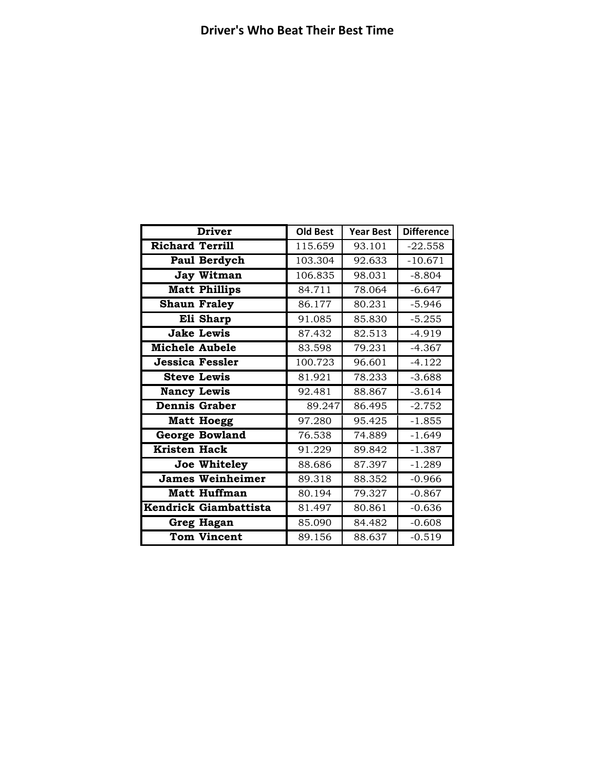| <b>Driver</b>           | <b>Old Best</b> | <b>Year Best</b> | <b>Difference</b> |
|-------------------------|-----------------|------------------|-------------------|
| <b>Richard Terrill</b>  | 115.659         | 93.101           | $-22.558$         |
| Paul Berdych            | 103.304         | 92.633           | $-10.671$         |
| Jay Witman              | 106.835         | 98.031           | $-8.804$          |
| <b>Matt Phillips</b>    | 84.711          | 78.064           | $-6.647$          |
| <b>Shaun Fraley</b>     | 86.177          | 80.231           | $-5.946$          |
| Eli Sharp               | 91.085          | 85.830           | $-5.255$          |
| <b>Jake Lewis</b>       | 87.432          | 82.513           | $-4.919$          |
| <b>Michele Aubele</b>   | 83.598          | 79.231           | $-4.367$          |
| <b>Jessica Fessler</b>  | 100.723         | 96.601           | $-4.122$          |
| <b>Steve Lewis</b>      | 81.921          | 78.233           | $-3.688$          |
| <b>Nancy Lewis</b>      | 92.481          | 88.867           | $-3.614$          |
| <b>Dennis Graber</b>    | 89.247          | 86.495           | $-2.752$          |
| <b>Matt Hoegg</b>       | 97.280          | 95.425           | $-1.855$          |
| <b>George Bowland</b>   | 76.538          | 74.889           | $-1.649$          |
| <b>Kristen Hack</b>     | 91.229          | 89.842           | $-1.387$          |
| Joe Whiteley            | 88.686          | 87.397           | $-1.289$          |
| <b>James Weinheimer</b> | 89.318          | 88.352           | $-0.966$          |
| <b>Matt Huffman</b>     | 80.194          | 79.327           | $-0.867$          |
| Kendrick Giambattista   | 81.497          | 80.861           | $-0.636$          |
| Greg Hagan              | 85.090          | 84.482           | $-0.608$          |
| <b>Tom Vincent</b>      | 89.156          | 88.637           | $-0.519$          |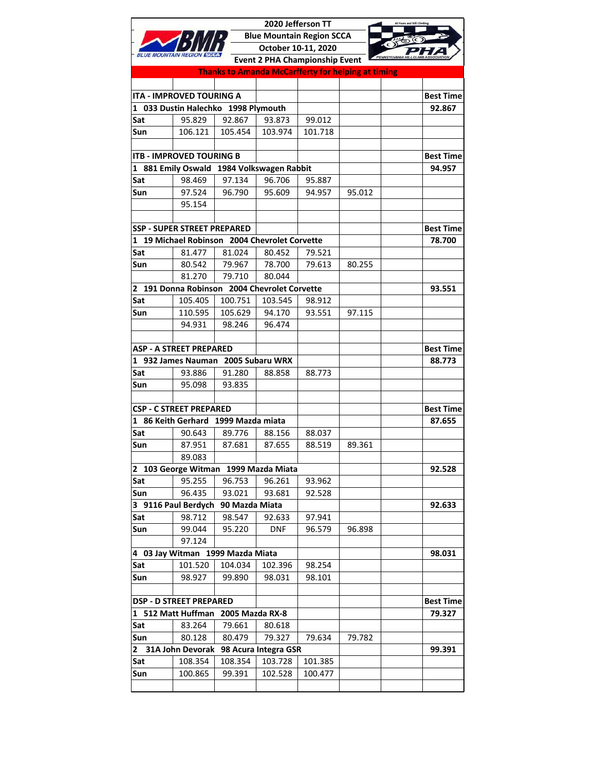|                                               |                                     |                 |                      | 2020 Jefferson TT                                         |        |                  |
|-----------------------------------------------|-------------------------------------|-----------------|----------------------|-----------------------------------------------------------|--------|------------------|
|                                               |                                     |                 |                      | <b>Blue Mountain Region SCCA</b>                          |        |                  |
|                                               |                                     |                 | October 10-11, 2020  |                                                           |        |                  |
|                                               |                                     |                 |                      | <b>Event 2 PHA Championship Event</b>                     |        |                  |
|                                               |                                     |                 |                      | <b>Thanks to Amanda McCarfferty for helping at timing</b> |        |                  |
|                                               |                                     |                 |                      |                                                           |        |                  |
| ITA - IMPROVED TOURING A                      |                                     |                 |                      |                                                           |        | <b>Best Time</b> |
|                                               | 1 033 Dustin Halechko 1998 Plymouth |                 |                      |                                                           |        | 92.867           |
| Sat                                           | 95.829                              | 92.867          | 93.873               | 99.012                                                    |        |                  |
| Sun                                           | 106.121                             | 105.454         | 103.974              | 101.718                                                   |        |                  |
|                                               |                                     |                 |                      |                                                           |        |                  |
| <b>ITB - IMPROVED TOURING B</b>               |                                     |                 |                      |                                                           |        | <b>Best Time</b> |
| 1 881 Emily Oswald 1984 Volkswagen Rabbit     |                                     |                 |                      |                                                           |        | 94.957           |
| Sat                                           | 98.469                              | 97.134          | 96.706               | 95.887                                                    |        |                  |
| Sun                                           | 97.524                              | 96.790          | 95.609               | 94.957                                                    | 95.012 |                  |
|                                               | 95.154                              |                 |                      |                                                           |        |                  |
|                                               |                                     |                 |                      |                                                           |        |                  |
| <b>SSP - SUPER STREET PREPARED</b>            |                                     |                 |                      |                                                           |        | <b>Best Time</b> |
| 1 19 Michael Robinson 2004 Chevrolet Corvette |                                     |                 |                      |                                                           |        | 78.700           |
| Sat                                           | 81.477                              | 81.024          | 80.452               | 79.521                                                    |        |                  |
| Sun                                           | 80.542                              | 79.967          | 78.700               | 79.613                                                    | 80.255 |                  |
|                                               | 81.270                              | 79.710          | 80.044               |                                                           |        |                  |
| 2 191 Donna Robinson 2004 Chevrolet Corvette  |                                     |                 |                      |                                                           |        | 93.551           |
| Sat                                           | 105.405                             | 100.751         | 103.545              | 98.912                                                    |        |                  |
| Sun                                           | 110.595                             | 105.629         | 94.170               | 93.551                                                    | 97.115 |                  |
|                                               | 94.931                              | 98.246          | 96.474               |                                                           |        |                  |
|                                               |                                     |                 |                      |                                                           |        |                  |
| <b>ASP - A STREET PREPARED</b>                |                                     |                 |                      |                                                           |        | <b>Best Time</b> |
| 1 932 James Nauman 2005 Subaru WRX            |                                     |                 |                      |                                                           |        | 88.773           |
| Sat                                           | 93.886                              | 91.280          | 88.858               | 88.773                                                    |        |                  |
| Sun                                           | 95.098                              | 93.835          |                      |                                                           |        |                  |
|                                               |                                     |                 |                      |                                                           |        |                  |
| <b>CSP - C STREET PREPARED</b>                |                                     |                 |                      |                                                           |        | <b>Best Time</b> |
| 1 86 Keith Gerhard 1999 Mazda miata           |                                     |                 |                      |                                                           |        | 87.655           |
| Sat                                           | 90.643                              | 89.776          | 88.156               | 88.037                                                    |        |                  |
| Sun                                           | 87.951                              | 87.681          | 87.655               | 88.519                                                    | 89.361 |                  |
|                                               | 89.083                              |                 |                      |                                                           |        |                  |
| 2 103 George Witman 1999 Mazda Miata          |                                     |                 |                      |                                                           |        | 92.528           |
| Sat                                           | 95.255                              | 96.753          | 96.261               | 93.962                                                    |        |                  |
| Sun                                           | 96.435                              | 93.021          | 93.681               | 92.528                                                    |        |                  |
| 3 9116 Paul Berdych                           |                                     | 90 Mazda Miata  |                      |                                                           |        | 92.633           |
| Sat                                           | 98.712                              | 98.547          | 92.633               | 97.941                                                    |        |                  |
| Sun                                           | 99.044                              | 95.220          | <b>DNF</b>           | 96.579                                                    | 96.898 |                  |
|                                               | 97.124                              |                 |                      |                                                           |        |                  |
| 4 03 Jay Witman 1999 Mazda Miata              |                                     |                 |                      |                                                           |        | 98.031           |
| Sat                                           | 101.520                             | 104.034         | 102.396              | 98.254                                                    |        |                  |
| Sun                                           | 98.927                              | 99.890          | 98.031               | 98.101                                                    |        |                  |
|                                               |                                     |                 |                      |                                                           |        |                  |
| <b>DSP - D STREET PREPARED</b>                |                                     |                 |                      |                                                           |        | <b>Best Time</b> |
| 1 512 Matt Huffman                            |                                     | 2005 Mazda RX-8 |                      |                                                           |        | 79.327           |
| Sat                                           | 83.264                              | 79.661          | 80.618               |                                                           |        |                  |
| Sun                                           | 80.128                              | 80.479          | 79.327               | 79.634                                                    | 79.782 |                  |
| $\mathbf{2}$                                  | 31A John Devorak                    |                 | 98 Acura Integra GSR |                                                           |        | 99.391           |
| Sat                                           | 108.354                             | 108.354         | 103.728              | 101.385                                                   |        |                  |
| Sun                                           | 100.865                             | 99.391          | 102.528              | 100.477                                                   |        |                  |
|                                               |                                     |                 |                      |                                                           |        |                  |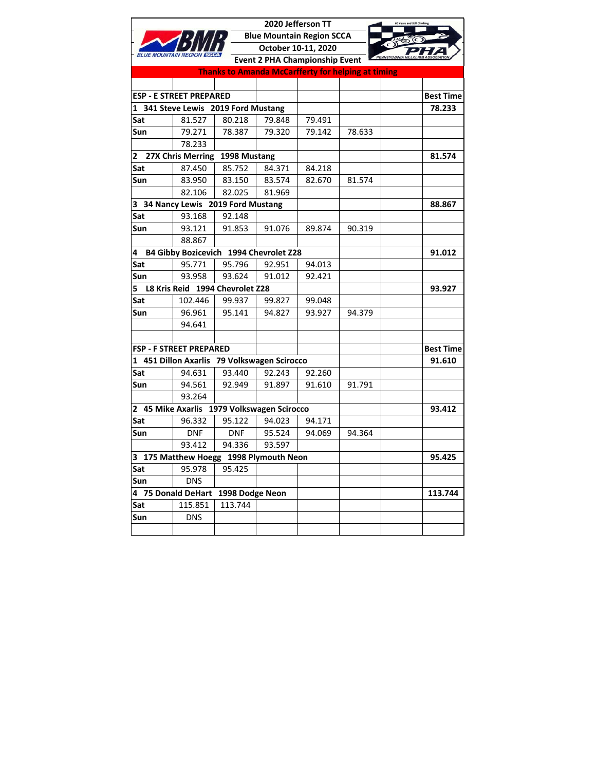|                    |                                             |                 |        | 2020 Jefferson TT                     |                                                           |                  |
|--------------------|---------------------------------------------|-----------------|--------|---------------------------------------|-----------------------------------------------------------|------------------|
|                    |                                             |                 |        | <b>Blue Mountain Region SCCA</b>      |                                                           |                  |
|                    |                                             |                 |        | October 10-11, 2020                   |                                                           |                  |
|                    |                                             |                 |        | <b>Event 2 PHA Championship Event</b> |                                                           |                  |
|                    |                                             |                 |        |                                       | <b>Thanks to Amanda McCarfferty for helping at timing</b> |                  |
|                    |                                             |                 |        |                                       |                                                           |                  |
|                    | <b>ESP - E STREET PREPARED</b>              |                 |        |                                       |                                                           | <b>Best Time</b> |
|                    | 1 341 Steve Lewis 2019 Ford Mustang         |                 |        |                                       |                                                           | 78.233           |
| Sat                | 81.527                                      | 80.218          | 79.848 | 79.491                                |                                                           |                  |
| Sun                | 79.271                                      | 78.387          | 79.320 | 79.142                                | 78.633                                                    |                  |
|                    | 78.233                                      |                 |        |                                       |                                                           |                  |
| 2                  | 27X Chris Merring                           | 1998 Mustang    |        |                                       |                                                           | 81.574           |
| Sat                | 87.450                                      | 85.752          | 84.371 | 84.218                                |                                                           |                  |
| Sun                | 83.950                                      | 83.150          | 83.574 | 82.670                                | 81.574                                                    |                  |
|                    | 82.106                                      | 82.025          | 81.969 |                                       |                                                           |                  |
|                    | 3 34 Nancy Lewis 2019 Ford Mustang          |                 |        |                                       |                                                           | 88.867           |
| Sat                | 93.168                                      | 92.148          |        |                                       |                                                           |                  |
| Sun                | 93.121                                      | 91.853          | 91.076 | 89.874                                | 90.319                                                    |                  |
|                    | 88.867                                      |                 |        |                                       |                                                           |                  |
| 4                  | B4 Gibby Bozicevich 1994 Chevrolet Z28      |                 |        |                                       |                                                           | 91.012           |
| Sat                | 95.771                                      | 95.796          | 92.951 | 94.013                                |                                                           |                  |
| Sun                | 93.958                                      | 93.624          | 91.012 | 92.421                                |                                                           |                  |
| 5                  | L8 Kris Reid 1994 Chevrolet Z28             |                 |        |                                       |                                                           | 93.927           |
| Sat                | 102.446                                     | 99.937          | 99.827 | 99.048                                |                                                           |                  |
| Sun                | 96.961                                      | 95.141          | 94.827 | 93.927                                | 94.379                                                    |                  |
|                    | 94.641                                      |                 |        |                                       |                                                           |                  |
|                    |                                             |                 |        |                                       |                                                           |                  |
|                    | <b>FSP - F STREET PREPARED</b>              |                 |        |                                       |                                                           | <b>Best Time</b> |
|                    | 1 451 Dillon Axarlis 79 Volkswagen Scirocco |                 |        |                                       |                                                           | 91.610           |
| Sat                | 94.631                                      | 93.440          | 92.243 | 92.260                                |                                                           |                  |
| Sun                | 94.561                                      | 92.949          | 91.897 | 91.610                                | 91.791                                                    |                  |
|                    | 93.264                                      |                 |        |                                       |                                                           |                  |
|                    | 2 45 Mike Axarlis 1979 Volkswagen Scirocco  |                 |        |                                       |                                                           | 93.412           |
| Sat                | 96.332                                      | 95.122          | 94.023 | 94.171                                |                                                           |                  |
| Sun                | <b>DNF</b>                                  | <b>DNF</b>      | 95.524 | 94.069                                | 94.364                                                    |                  |
|                    | 93.412                                      | 94.336          | 93.597 |                                       |                                                           |                  |
|                    | 3 175 Matthew Hoegg 1998 Plymouth Neon      |                 |        |                                       |                                                           | 95.425           |
| Sat                | 95.978                                      | 95.425          |        |                                       |                                                           |                  |
| Sun                | <b>DNS</b>                                  |                 |        |                                       |                                                           |                  |
| 4 75 Donald DeHart |                                             | 1998 Dodge Neon |        |                                       |                                                           | 113.744          |
| Sat                | 115.851                                     | 113.744         |        |                                       |                                                           |                  |
| Sun                | <b>DNS</b>                                  |                 |        |                                       |                                                           |                  |
|                    |                                             |                 |        |                                       |                                                           |                  |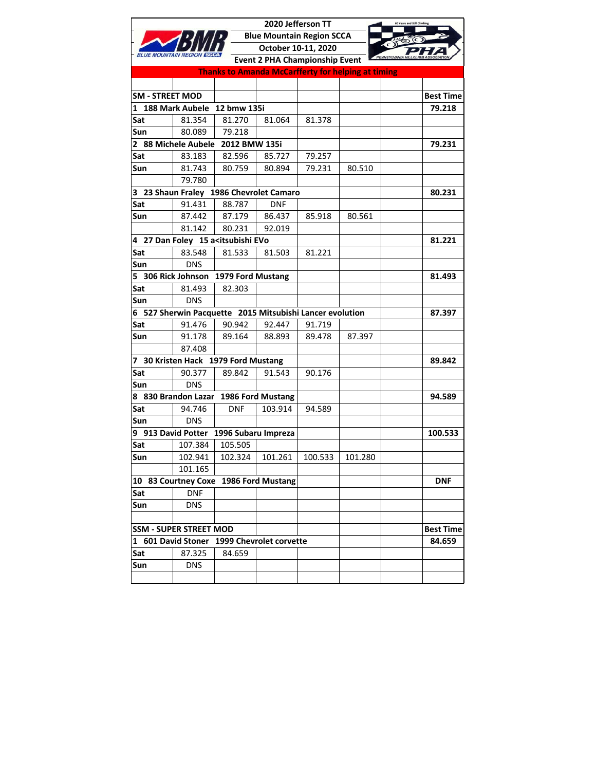|                        |                               |                                                                                                     | 2020 Jefferson TT                                         |         |         |                  |
|------------------------|-------------------------------|-----------------------------------------------------------------------------------------------------|-----------------------------------------------------------|---------|---------|------------------|
|                        |                               |                                                                                                     | <b>Blue Mountain Region SCCA</b>                          |         |         |                  |
|                        |                               |                                                                                                     | October 10-11, 2020                                       |         |         |                  |
|                        |                               |                                                                                                     | <b>Event 2 PHA Championship Event</b>                     |         |         |                  |
|                        |                               |                                                                                                     | <b>Thanks to Amanda McCarfferty for helping at timing</b> |         |         |                  |
|                        |                               |                                                                                                     |                                                           |         |         |                  |
| <b>SM - STREET MOD</b> |                               |                                                                                                     |                                                           |         |         | <b>Best Time</b> |
|                        |                               | 1 188 Mark Aubele 12 bmw 135i                                                                       |                                                           |         |         | 79.218           |
| Sat                    | 81.354<br>80.089              | 81.270<br>79.218                                                                                    | 81.064                                                    | 81.378  |         |                  |
| Sun                    |                               | 2 88 Michele Aubele 2012 BMW 135i                                                                   |                                                           |         |         | 79.231           |
| Sat                    | 83.183                        | 82.596                                                                                              | 85.727                                                    | 79.257  |         |                  |
| Sun                    | 81.743                        | 80.759                                                                                              | 80.894                                                    | 79.231  | 80.510  |                  |
|                        | 79.780                        |                                                                                                     |                                                           |         |         |                  |
|                        |                               |                                                                                                     | 3 23 Shaun Fraley 1986 Chevrolet Camaro                   |         |         | 80.231           |
| Sat                    | 91.431                        | 88.787                                                                                              | <b>DNF</b>                                                |         |         |                  |
| Sun                    | 87.442                        | 87.179                                                                                              | 86.437                                                    | 85.918  | 80.561  |                  |
|                        | 81.142                        | 80.231                                                                                              | 92.019                                                    |         |         |                  |
|                        |                               | 4 27 Dan Foley 15 a <itsubishi evo<="" th=""><th></th><th></th><th></th><th>81.221</th></itsubishi> |                                                           |         |         | 81.221           |
| Sat                    | 83.548                        | 81.533                                                                                              | 81.503                                                    | 81.221  |         |                  |
| Sun                    | <b>DNS</b>                    |                                                                                                     |                                                           |         |         |                  |
| 5                      |                               | 306 Rick Johnson 1979 Ford Mustang                                                                  |                                                           |         |         | 81.493           |
| Sat                    | 81.493                        | 82.303                                                                                              |                                                           |         |         |                  |
| Sun                    | <b>DNS</b>                    |                                                                                                     |                                                           |         |         |                  |
|                        |                               |                                                                                                     | 6 527 Sherwin Pacquette 2015 Mitsubishi Lancer evolution  |         |         | 87.397           |
| Sat                    | 91.476                        | 90.942                                                                                              | 92.447                                                    | 91.719  |         |                  |
| Sun                    | 91.178                        | 89.164                                                                                              | 88.893                                                    | 89.478  | 87.397  |                  |
|                        | 87.408                        |                                                                                                     |                                                           |         |         |                  |
|                        |                               | 7 30 Kristen Hack 1979 Ford Mustang                                                                 |                                                           |         |         | 89.842           |
| Sat                    | 90.377                        | 89.842                                                                                              | 91.543                                                    | 90.176  |         |                  |
| Sun                    | <b>DNS</b>                    |                                                                                                     |                                                           |         |         |                  |
|                        | 8 830 Brandon Lazar           |                                                                                                     | 1986 Ford Mustang                                         |         |         | 94.589           |
| Sat                    | 94.746                        | <b>DNF</b>                                                                                          | 103.914                                                   | 94.589  |         |                  |
| Sun                    | <b>DNS</b>                    |                                                                                                     |                                                           |         |         |                  |
|                        |                               | 9 913 David Potter 1996 Subaru Impreza                                                              |                                                           |         |         | 100.533          |
| Sat                    | 107.384                       | 105.505                                                                                             |                                                           |         |         |                  |
| Sun                    | 102.941                       | 102.324                                                                                             | 101.261                                                   | 100.533 | 101.280 |                  |
|                        | 101.165                       |                                                                                                     |                                                           |         |         |                  |
|                        |                               | 10 83 Courtney Coxe 1986 Ford Mustang                                                               |                                                           |         |         | <b>DNF</b>       |
| Sat                    | <b>DNF</b>                    |                                                                                                     |                                                           |         |         |                  |
| Sun                    | <b>DNS</b>                    |                                                                                                     |                                                           |         |         |                  |
|                        |                               |                                                                                                     |                                                           |         |         |                  |
|                        | <b>SSM - SUPER STREET MOD</b> |                                                                                                     |                                                           |         |         | <b>Best Time</b> |
| 1 601 David Stoner     |                               |                                                                                                     | 1999 Chevrolet corvette                                   |         |         | 84.659           |
| Sat                    | 87.325                        | 84.659                                                                                              |                                                           |         |         |                  |
| Sun                    | <b>DNS</b>                    |                                                                                                     |                                                           |         |         |                  |
|                        |                               |                                                                                                     |                                                           |         |         |                  |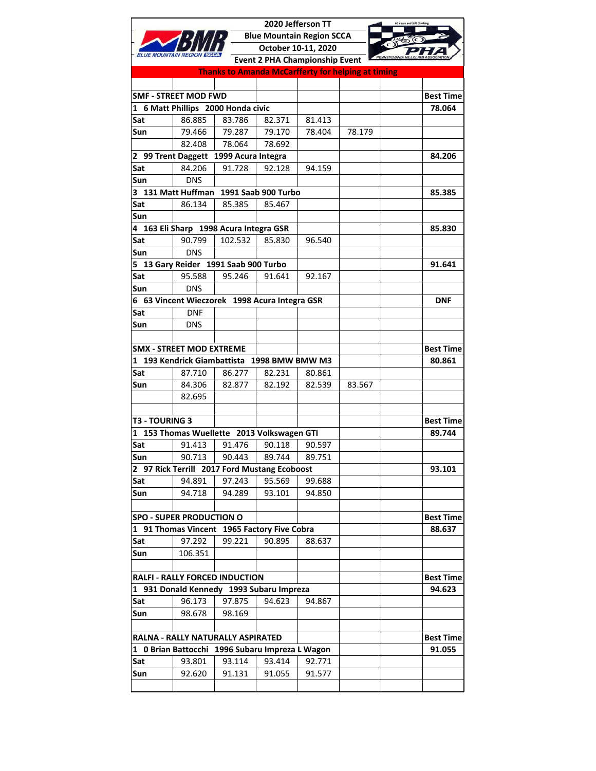|                       |                                                |         | 2020 Jefferson TT                                         |        |        |                  |
|-----------------------|------------------------------------------------|---------|-----------------------------------------------------------|--------|--------|------------------|
|                       |                                                |         | <b>Blue Mountain Region SCCA</b>                          |        |        |                  |
|                       |                                                |         | October 10-11, 2020                                       |        |        |                  |
|                       |                                                |         | <b>Event 2 PHA Championship Event</b>                     |        |        |                  |
|                       |                                                |         | <b>Thanks to Amanda McCarfferty for helping at timing</b> |        |        |                  |
|                       |                                                |         |                                                           |        |        |                  |
|                       | <b>SMF - STREET MOD FWD</b>                    |         |                                                           |        |        | <b>Best Time</b> |
|                       | 1 6 Matt Phillips 2000 Honda civic             |         |                                                           |        |        | 78.064           |
| Sat                   | 86.885                                         | 83.786  | 82.371                                                    | 81.413 |        |                  |
| Sun                   | 79.466                                         | 79.287  | 79.170                                                    | 78.404 | 78.179 |                  |
|                       | 82.408                                         | 78.064  | 78.692                                                    |        |        |                  |
|                       | 2 99 Trent Daggett 1999 Acura Integra          |         |                                                           |        |        | 84.206           |
| Sat                   | 84.206                                         | 91.728  | 92.128                                                    | 94.159 |        |                  |
| Sun                   | <b>DNS</b>                                     |         |                                                           |        |        |                  |
|                       | 3 131 Matt Huffman 1991 Saab 900 Turbo         |         |                                                           |        |        | 85.385           |
| Sat                   | 86.134                                         | 85.385  | 85.467                                                    |        |        |                  |
| Sun                   |                                                |         |                                                           |        |        |                  |
|                       | 4 163 Eli Sharp 1998 Acura Integra GSR         |         |                                                           |        |        | 85.830           |
| Sat                   | 90.799                                         | 102.532 | 85.830                                                    | 96.540 |        |                  |
| Sun                   | <b>DNS</b>                                     |         |                                                           |        |        |                  |
|                       |                                                |         |                                                           |        |        |                  |
|                       | 5 13 Gary Reider 1991 Saab 900 Turbo<br>95.588 | 95.246  | 91.641                                                    |        |        | 91.641           |
| Sat                   |                                                |         |                                                           | 92.167 |        |                  |
| Sun                   | <b>DNS</b>                                     |         |                                                           |        |        |                  |
|                       | 6 63 Vincent Wieczorek 1998 Acura Integra GSR  |         |                                                           |        |        | <b>DNF</b>       |
| Sat                   | <b>DNF</b>                                     |         |                                                           |        |        |                  |
| Sun                   | <b>DNS</b>                                     |         |                                                           |        |        |                  |
|                       |                                                |         |                                                           |        |        |                  |
|                       | <b>SMX - STREET MOD EXTREME</b>                |         |                                                           |        |        | <b>Best Time</b> |
|                       | 1 193 Kendrick Giambattista 1998 BMW BMW M3    |         |                                                           |        |        | 80.861           |
| Sat                   | 87.710                                         | 86.277  | 82.231                                                    | 80.861 |        |                  |
| Sun                   | 84.306                                         | 82.877  | 82.192                                                    | 82.539 | 83.567 |                  |
|                       | 82.695                                         |         |                                                           |        |        |                  |
|                       |                                                |         |                                                           |        |        |                  |
| <b>T3 - TOURING 3</b> |                                                |         |                                                           |        |        | <b>Best Time</b> |
|                       | 1 153 Thomas Wuellette 2013 Volkswagen GTI     |         |                                                           |        |        | 89.744           |
| Sat                   | 91.413                                         | 91.476  | 90.118                                                    | 90.597 |        |                  |
| Sun                   | 90.713                                         | 90.443  | 89.744                                                    | 89.751 |        |                  |
|                       | 2 97 Rick Terrill 2017 Ford Mustang Ecoboost   |         |                                                           |        |        | 93.101           |
| Sat                   | 94.891                                         | 97.243  | 95.569                                                    | 99.688 |        |                  |
| Sun                   | 94.718                                         | 94.289  | 93.101                                                    | 94.850 |        |                  |
|                       |                                                |         |                                                           |        |        |                  |
|                       | <b>SPO - SUPER PRODUCTION O</b>                |         |                                                           |        |        | <b>Best Time</b> |
|                       | 1 91 Thomas Vincent 1965 Factory Five Cobra    |         |                                                           |        |        | 88.637           |
| Sat                   | 97.292                                         | 99.221  | 90.895                                                    | 88.637 |        |                  |
| Sun                   | 106.351                                        |         |                                                           |        |        |                  |
|                       |                                                |         |                                                           |        |        |                  |
|                       | <b>RALFI - RALLY FORCED INDUCTION</b>          |         |                                                           |        |        | <b>Best Time</b> |
|                       | 1 931 Donald Kennedy 1993 Subaru Impreza       |         |                                                           |        |        | 94.623           |
| Sat                   | 96.173                                         | 97.875  | 94.623                                                    | 94.867 |        |                  |
| Sun                   | 98.678                                         | 98.169  |                                                           |        |        |                  |
|                       |                                                |         |                                                           |        |        |                  |
|                       | RALNA - RALLY NATURALLY ASPIRATED              |         |                                                           |        |        | <b>Best Time</b> |
|                       | 1 0 Brian Battocchi                            |         | 1996 Subaru Impreza L Wagon                               |        |        | 91.055           |
| Sat                   | 93.801                                         | 93.114  | 93.414                                                    | 92.771 |        |                  |
| Sun                   | 92.620                                         | 91.131  | 91.055                                                    | 91.577 |        |                  |
|                       |                                                |         |                                                           |        |        |                  |
|                       |                                                |         |                                                           |        |        |                  |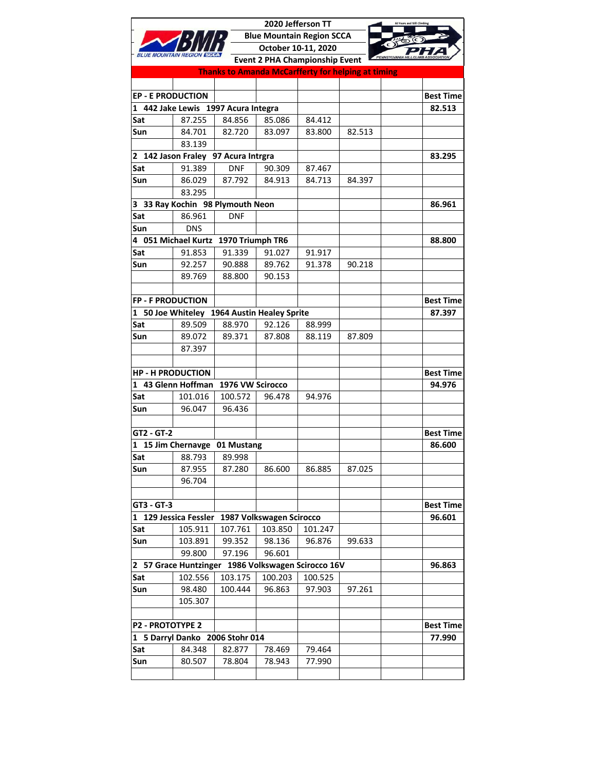|                                                                          |                                      |                  |                                                    | 2020 Jefferson TT   |        |  |                  |  |  |  |  |
|--------------------------------------------------------------------------|--------------------------------------|------------------|----------------------------------------------------|---------------------|--------|--|------------------|--|--|--|--|
|                                                                          |                                      |                  | <b>Blue Mountain Region SCCA</b>                   |                     |        |  |                  |  |  |  |  |
|                                                                          |                                      |                  |                                                    | October 10-11, 2020 |        |  |                  |  |  |  |  |
| <b>BLUE MOUNTAIN REGION EEU</b><br><b>Event 2 PHA Championship Event</b> |                                      |                  |                                                    |                     |        |  |                  |  |  |  |  |
| <b>Thanks to Amanda McCarfferty for helping at timing</b>                |                                      |                  |                                                    |                     |        |  |                  |  |  |  |  |
|                                                                          |                                      |                  |                                                    |                     |        |  |                  |  |  |  |  |
| <b>EP - E PRODUCTION</b>                                                 |                                      |                  |                                                    |                     |        |  | <b>Best Time</b> |  |  |  |  |
|                                                                          | 1 442 Jake Lewis 1997 Acura Integra  |                  |                                                    |                     |        |  | 82.513           |  |  |  |  |
| Sat                                                                      | 87.255                               | 84.856           | 85.086                                             | 84.412              |        |  |                  |  |  |  |  |
| Sun                                                                      | 84.701                               | 82.720           | 83.097                                             | 83.800              | 82.513 |  |                  |  |  |  |  |
|                                                                          | 83.139                               |                  |                                                    |                     |        |  |                  |  |  |  |  |
|                                                                          | 2 142 Jason Fraley 97 Acura Intrgra  |                  |                                                    |                     |        |  | 83.295           |  |  |  |  |
| Sat                                                                      | 91.389                               | <b>DNF</b>       | 90.309                                             | 87.467              |        |  |                  |  |  |  |  |
| Sun                                                                      | 86.029                               | 87.792           | 84.913                                             | 84.713              | 84.397 |  |                  |  |  |  |  |
|                                                                          | 83.295                               |                  |                                                    |                     |        |  |                  |  |  |  |  |
|                                                                          | 3 33 Ray Kochin 98 Plymouth Neon     |                  |                                                    |                     |        |  | 86.961           |  |  |  |  |
| Sat                                                                      | 86.961                               | DNF              |                                                    |                     |        |  |                  |  |  |  |  |
| Sun                                                                      | <b>DNS</b>                           |                  |                                                    |                     |        |  |                  |  |  |  |  |
|                                                                          | 4 051 Michael Kurtz 1970 Triumph TR6 |                  |                                                    |                     |        |  | 88.800           |  |  |  |  |
| Sat                                                                      | 91.853                               | 91.339           | 91.027                                             | 91.917              |        |  |                  |  |  |  |  |
| Sun                                                                      | 92.257                               | 90.888           | 89.762                                             | 91.378              | 90.218 |  |                  |  |  |  |  |
|                                                                          | 89.769                               | 88.800           | 90.153                                             |                     |        |  |                  |  |  |  |  |
|                                                                          |                                      |                  |                                                    |                     |        |  |                  |  |  |  |  |
| <b>FP - F PRODUCTION</b>                                                 |                                      |                  |                                                    |                     |        |  | <b>Best Time</b> |  |  |  |  |
|                                                                          |                                      |                  |                                                    |                     |        |  |                  |  |  |  |  |
| 1 50 Joe Whiteley                                                        |                                      |                  | 1964 Austin Healey Sprite                          |                     |        |  | 87.397           |  |  |  |  |
| Sat                                                                      | 89.509                               | 88.970           | 92.126                                             | 88.999              |        |  |                  |  |  |  |  |
| Sun                                                                      | 89.072                               | 89.371           | 87.808                                             | 88.119              | 87.809 |  |                  |  |  |  |  |
|                                                                          | 87.397                               |                  |                                                    |                     |        |  |                  |  |  |  |  |
|                                                                          |                                      |                  |                                                    |                     |        |  |                  |  |  |  |  |
| <b>HP - H PRODUCTION</b>                                                 |                                      |                  |                                                    |                     |        |  | <b>Best Time</b> |  |  |  |  |
|                                                                          | 1 43 Glenn Hoffman                   | 1976 VW Scirocco |                                                    |                     |        |  | 94.976           |  |  |  |  |
| Sat                                                                      | 101.016                              | 100.572          | 96.478                                             | 94.976              |        |  |                  |  |  |  |  |
| Sun                                                                      | 96.047                               | 96.436           |                                                    |                     |        |  |                  |  |  |  |  |
|                                                                          |                                      |                  |                                                    |                     |        |  |                  |  |  |  |  |
| GT2 - GT-2                                                               |                                      |                  |                                                    |                     |        |  | <b>Best Time</b> |  |  |  |  |
|                                                                          | 1 15 Jim Chernavge 01 Mustang        |                  |                                                    |                     |        |  | 86.600           |  |  |  |  |
| Sat                                                                      | 88.793                               | 89.998           |                                                    |                     |        |  |                  |  |  |  |  |
| Sun                                                                      | 87.955                               | 87.280           | 86.600                                             | 86.885              | 87.025 |  |                  |  |  |  |  |
|                                                                          | 96.704                               |                  |                                                    |                     |        |  |                  |  |  |  |  |
|                                                                          |                                      |                  |                                                    |                     |        |  |                  |  |  |  |  |
| GT3 - GT-3                                                               |                                      |                  |                                                    |                     |        |  | <b>Best Time</b> |  |  |  |  |
| 1                                                                        | 129 Jessica Fessler                  |                  | 1987 Volkswagen Scirocco                           |                     |        |  | 96.601           |  |  |  |  |
| Sat                                                                      | 105.911                              | 107.761          | 103.850                                            | 101.247             |        |  |                  |  |  |  |  |
| Sun                                                                      | 103.891                              | 99.352           | 98.136                                             | 96.876              | 99.633 |  |                  |  |  |  |  |
|                                                                          | 99.800                               | 97.196           | 96.601                                             |                     |        |  |                  |  |  |  |  |
|                                                                          |                                      |                  | 2 57 Grace Huntzinger 1986 Volkswagen Scirocco 16V |                     |        |  | 96.863           |  |  |  |  |
| Sat                                                                      | 102.556                              | 103.175          | 100.203                                            | 100.525             |        |  |                  |  |  |  |  |
| Sun                                                                      | 98.480                               | 100.444          | 96.863                                             | 97.903              | 97.261 |  |                  |  |  |  |  |
|                                                                          | 105.307                              |                  |                                                    |                     |        |  |                  |  |  |  |  |
|                                                                          |                                      |                  |                                                    |                     |        |  |                  |  |  |  |  |
| P2 - PROTOTYPE 2                                                         |                                      |                  |                                                    |                     |        |  | <b>Best Time</b> |  |  |  |  |
| 1 5 Darryl Danko                                                         |                                      | 2006 Stohr 014   |                                                    |                     |        |  | 77.990           |  |  |  |  |
| Sat                                                                      | 84.348                               | 82.877           | 78.469                                             | 79.464              |        |  |                  |  |  |  |  |
| Sun                                                                      | 80.507                               | 78.804           | 78.943                                             | 77.990              |        |  |                  |  |  |  |  |
|                                                                          |                                      |                  |                                                    |                     |        |  |                  |  |  |  |  |
|                                                                          |                                      |                  |                                                    |                     |        |  |                  |  |  |  |  |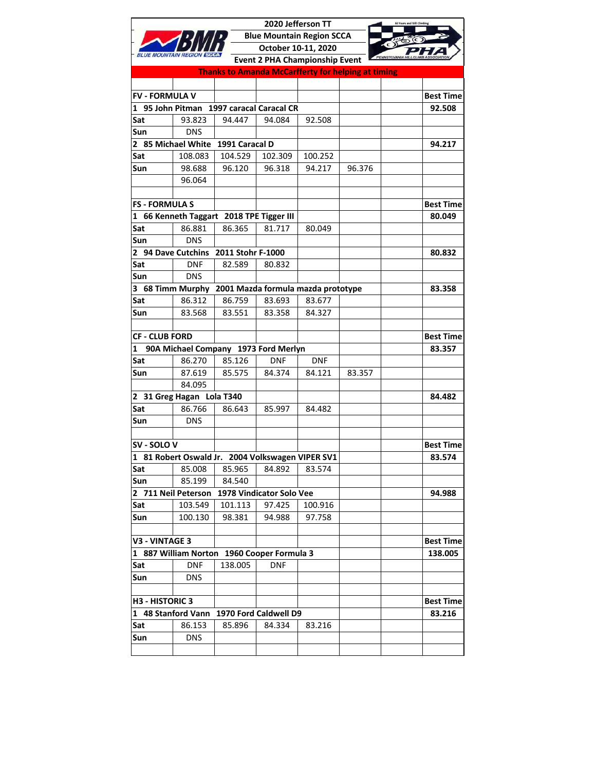|                                                           | 2020 Jefferson TT<br>60 Years and Still Clini |  |  |  |  |  |  |  |  |  |
|-----------------------------------------------------------|-----------------------------------------------|--|--|--|--|--|--|--|--|--|
| <b>Blue Mountain Region SCCA</b>                          |                                               |  |  |  |  |  |  |  |  |  |
| October 10-11, 2020<br><b>BLUE MOUNTAIN REGION SER</b>    |                                               |  |  |  |  |  |  |  |  |  |
| <b>Event 2 PHA Championship Event</b>                     |                                               |  |  |  |  |  |  |  |  |  |
| <b>Thanks to Amanda McCarfferty for helping at timing</b> |                                               |  |  |  |  |  |  |  |  |  |
|                                                           |                                               |  |  |  |  |  |  |  |  |  |
| <b>FV - FORMULA V</b>                                     | <b>Best Time</b>                              |  |  |  |  |  |  |  |  |  |
| 1 95 John Pitman 1997 caracal Caracal CR                  | 92.508                                        |  |  |  |  |  |  |  |  |  |
| 94.447<br>93.823<br>94.084<br>92.508<br>Sat               |                                               |  |  |  |  |  |  |  |  |  |
| <b>DNS</b><br>Sun                                         |                                               |  |  |  |  |  |  |  |  |  |
| 2 85 Michael White 1991 Caracal D                         | 94.217                                        |  |  |  |  |  |  |  |  |  |
| 108.083<br>104.529<br>102.309<br>100.252<br>Sat           |                                               |  |  |  |  |  |  |  |  |  |
| 98.688<br>96.120<br>96.318<br>94.217<br>96.376<br>Sun     |                                               |  |  |  |  |  |  |  |  |  |
| 96.064                                                    |                                               |  |  |  |  |  |  |  |  |  |
|                                                           |                                               |  |  |  |  |  |  |  |  |  |
| <b>FS - FORMULA S</b>                                     | <b>Best Time</b>                              |  |  |  |  |  |  |  |  |  |
| 1 66 Kenneth Taggart 2018 TPE Tigger III                  | 80.049                                        |  |  |  |  |  |  |  |  |  |
| 86.881<br>86.365<br>81.717<br>80.049<br>Sat               |                                               |  |  |  |  |  |  |  |  |  |
| Sun<br><b>DNS</b>                                         |                                               |  |  |  |  |  |  |  |  |  |
| 2 94 Dave Cutchins<br>2011 Stohr F-1000                   | 80.832                                        |  |  |  |  |  |  |  |  |  |
| <b>DNF</b><br>82.589<br>80.832<br>Sat                     |                                               |  |  |  |  |  |  |  |  |  |
| <b>DNS</b><br>Sun                                         |                                               |  |  |  |  |  |  |  |  |  |
| 3 68 Timm Murphy 2001 Mazda formula mazda prototype       | 83.358                                        |  |  |  |  |  |  |  |  |  |
| 86.312<br>86.759<br>Sat<br>83.693<br>83.677               |                                               |  |  |  |  |  |  |  |  |  |
| 83.358<br>83.568<br>83.551<br>84.327<br>Sun               |                                               |  |  |  |  |  |  |  |  |  |
|                                                           |                                               |  |  |  |  |  |  |  |  |  |
| <b>CF - CLUB FORD</b>                                     | <b>Best Time</b>                              |  |  |  |  |  |  |  |  |  |
| 90A Michael Company 1973 Ford Merlyn<br>1                 | 83.357                                        |  |  |  |  |  |  |  |  |  |
| 86.270<br>85.126<br><b>DNF</b><br><b>DNF</b><br>Sat       |                                               |  |  |  |  |  |  |  |  |  |
| 87.619<br>85.575<br>84.374<br>84.121<br>83.357<br>Sun     |                                               |  |  |  |  |  |  |  |  |  |
| 84.095                                                    |                                               |  |  |  |  |  |  |  |  |  |
| 2 31 Greg Hagan Lola T340                                 | 84.482                                        |  |  |  |  |  |  |  |  |  |
| 86.766<br>86.643<br>85.997<br>84.482<br>Sat               |                                               |  |  |  |  |  |  |  |  |  |
| <b>DNS</b><br>Sun                                         |                                               |  |  |  |  |  |  |  |  |  |
|                                                           |                                               |  |  |  |  |  |  |  |  |  |
| <b>SV-SOLOV</b>                                           | <b>Best Time</b>                              |  |  |  |  |  |  |  |  |  |
| 1 81 Robert Oswald Jr. 2004 Volkswagen VIPER SV1          | 83.574                                        |  |  |  |  |  |  |  |  |  |
| Sat<br>85.008<br>85.965<br>84.892<br>83.574               |                                               |  |  |  |  |  |  |  |  |  |
| 85.199<br>84.540<br>Sun                                   |                                               |  |  |  |  |  |  |  |  |  |
| 2 711 Neil Peterson<br>1978 Vindicator Solo Vee           | 94.988                                        |  |  |  |  |  |  |  |  |  |
| Sat<br>103.549<br>101.113<br>97.425<br>100.916            |                                               |  |  |  |  |  |  |  |  |  |
| 98.381<br>94.988<br>97.758<br>100.130<br>Sun              |                                               |  |  |  |  |  |  |  |  |  |
|                                                           |                                               |  |  |  |  |  |  |  |  |  |
| V3 - VINTAGE 3                                            | <b>Best Time</b>                              |  |  |  |  |  |  |  |  |  |
| 1 887 William Norton 1960 Cooper Formula 3                | 138.005                                       |  |  |  |  |  |  |  |  |  |
| 138.005<br>Sat<br><b>DNF</b><br><b>DNF</b>                |                                               |  |  |  |  |  |  |  |  |  |
| <b>DNS</b><br>Sun                                         |                                               |  |  |  |  |  |  |  |  |  |
|                                                           |                                               |  |  |  |  |  |  |  |  |  |
| <b>H3 - HISTORIC 3</b>                                    | <b>Best Time</b>                              |  |  |  |  |  |  |  |  |  |
| 1 48 Stanford Vann<br>1970 Ford Caldwell D9               | 83.216                                        |  |  |  |  |  |  |  |  |  |
| 86.153<br>85.896<br>84.334<br>83.216<br>Sat               |                                               |  |  |  |  |  |  |  |  |  |
| <b>DNS</b><br>Sun                                         |                                               |  |  |  |  |  |  |  |  |  |
|                                                           |                                               |  |  |  |  |  |  |  |  |  |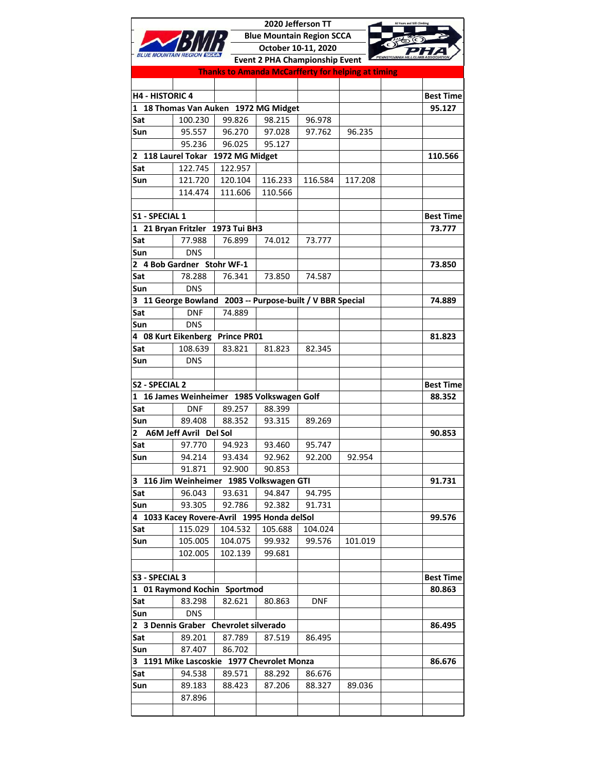|                        |                                                           |         |                                       | 2020 Jefferson TT   |                                                           |                  |
|------------------------|-----------------------------------------------------------|---------|---------------------------------------|---------------------|-----------------------------------------------------------|------------------|
|                        |                                                           |         | <b>Blue Mountain Region SCCA</b>      |                     |                                                           |                  |
|                        |                                                           |         |                                       | October 10-11, 2020 |                                                           |                  |
|                        |                                                           |         | <b>Event 2 PHA Championship Event</b> |                     |                                                           |                  |
|                        |                                                           |         |                                       |                     | <b>Thanks to Amanda McCarfferty for helping at timing</b> |                  |
|                        |                                                           |         |                                       |                     |                                                           |                  |
| <b>H4 - HISTORIC 4</b> |                                                           |         |                                       |                     |                                                           | <b>Best Time</b> |
|                        | 1 18 Thomas Van Auken 1972 MG Midget                      |         |                                       |                     |                                                           | 95.127           |
| Sat                    | 100.230                                                   | 99.826  | 98.215                                | 96.978              |                                                           |                  |
| Sun                    | 95.557                                                    | 96.270  | 97.028                                | 97.762              | 96.235                                                    |                  |
|                        | 95.236                                                    | 96.025  | 95.127                                |                     |                                                           |                  |
|                        | 2 118 Laurel Tokar 1972 MG Midget                         |         |                                       |                     |                                                           | 110.566          |
| Sat                    | 122.745                                                   | 122.957 |                                       |                     |                                                           |                  |
| Sun                    | 121.720                                                   | 120.104 | 116.233                               | 116.584             | 117.208                                                   |                  |
|                        | 114.474                                                   | 111.606 | 110.566                               |                     |                                                           |                  |
|                        |                                                           |         |                                       |                     |                                                           |                  |
|                        |                                                           |         |                                       |                     |                                                           |                  |
| S1 - SPECIAL 1         |                                                           |         |                                       |                     |                                                           | <b>Best Time</b> |
|                        | 1 21 Bryan Fritzler 1973 Tui BH3                          |         |                                       |                     |                                                           | 73.777           |
| Sat                    | 77.988                                                    | 76.899  | 74.012                                | 73.777              |                                                           |                  |
| Sun                    | <b>DNS</b>                                                |         |                                       |                     |                                                           |                  |
|                        | 2 4 Bob Gardner Stohr WF-1                                |         |                                       |                     |                                                           | 73.850           |
| Sat                    | 78.288                                                    | 76.341  | 73.850                                | 74.587              |                                                           |                  |
| Sun                    | <b>DNS</b>                                                |         |                                       |                     |                                                           |                  |
|                        | 3 11 George Bowland 2003 -- Purpose-built / V BBR Special |         |                                       |                     |                                                           | 74.889           |
| Sat                    | <b>DNF</b>                                                | 74.889  |                                       |                     |                                                           |                  |
| Sun                    | <b>DNS</b>                                                |         |                                       |                     |                                                           |                  |
|                        | 4 08 Kurt Eikenberg Prince PR01                           |         |                                       |                     |                                                           | 81.823           |
| Sat                    | 108.639                                                   | 83.821  | 81.823                                | 82.345              |                                                           |                  |
| Sun                    | <b>DNS</b>                                                |         |                                       |                     |                                                           |                  |
|                        |                                                           |         |                                       |                     |                                                           |                  |
| <b>S2 - SPECIAL 2</b>  |                                                           |         |                                       |                     |                                                           | <b>Best Time</b> |
|                        | 1 16 James Weinheimer 1985 Volkswagen Golf                |         |                                       |                     |                                                           | 88.352           |
| Sat                    | <b>DNF</b>                                                | 89.257  | 88.399                                |                     |                                                           |                  |
| Sun                    | 89.408                                                    | 88.352  | 93.315                                | 89.269              |                                                           |                  |
| 2                      | A6M Jeff Avril Del Sol                                    |         |                                       |                     |                                                           | 90.853           |
| Sat                    | 97.770                                                    | 94.923  | 93.460                                | 95.747              |                                                           |                  |
|                        |                                                           |         |                                       |                     |                                                           |                  |
| Sun                    | 94.214                                                    | 93.434  | 92.962                                | 92.200              | 92.954                                                    |                  |
|                        | 91.871                                                    | 92.900  | 90.853                                |                     |                                                           |                  |
|                        | 3 116 Jim Weinheimer 1985 Volkswagen GTI                  |         |                                       |                     |                                                           | 91.731           |
| Sat                    | 96.043                                                    | 93.631  | 94.847                                | 94.795              |                                                           |                  |
| Sun                    | 93.305                                                    | 92.786  | 92.382                                | 91.731              |                                                           |                  |
|                        | 4 1033 Kacey Rovere-Avril 1995 Honda delSol               |         |                                       |                     |                                                           | 99.576           |
| Sat                    | 115.029                                                   | 104.532 | 105.688                               | 104.024             |                                                           |                  |
| Sun                    | 105.005                                                   | 104.075 | 99.932                                | 99.576              | 101.019                                                   |                  |
|                        | 102.005                                                   | 102.139 | 99.681                                |                     |                                                           |                  |
|                        |                                                           |         |                                       |                     |                                                           |                  |
| S3 - SPECIAL 3         |                                                           |         |                                       |                     |                                                           | <b>Best Time</b> |
|                        | 1 01 Raymond Kochin Sportmod                              |         |                                       |                     |                                                           | 80.863           |
| Sat                    | 83.298                                                    | 82.621  | 80.863                                | <b>DNF</b>          |                                                           |                  |
| Sun                    | <b>DNS</b>                                                |         |                                       |                     |                                                           |                  |
|                        | 2 3 Dennis Graber Chevrolet silverado                     |         |                                       | 86.495              |                                                           |                  |
| Sat                    | 89.201                                                    | 87.789  | 87.519                                | 86.495              |                                                           |                  |
| Sun                    | 87.407                                                    | 86.702  |                                       |                     |                                                           |                  |
|                        | 3 1191 Mike Lascoskie 1977 Chevrolet Monza                |         |                                       |                     |                                                           | 86.676           |
|                        |                                                           |         |                                       |                     |                                                           |                  |
| Sat                    | 94.538                                                    | 89.571  | 88.292                                | 86.676              |                                                           |                  |
| Sun                    | 89.183                                                    | 88.423  | 87.206                                | 88.327              | 89.036                                                    |                  |
|                        | 87.896                                                    |         |                                       |                     |                                                           |                  |
|                        |                                                           |         |                                       |                     |                                                           |                  |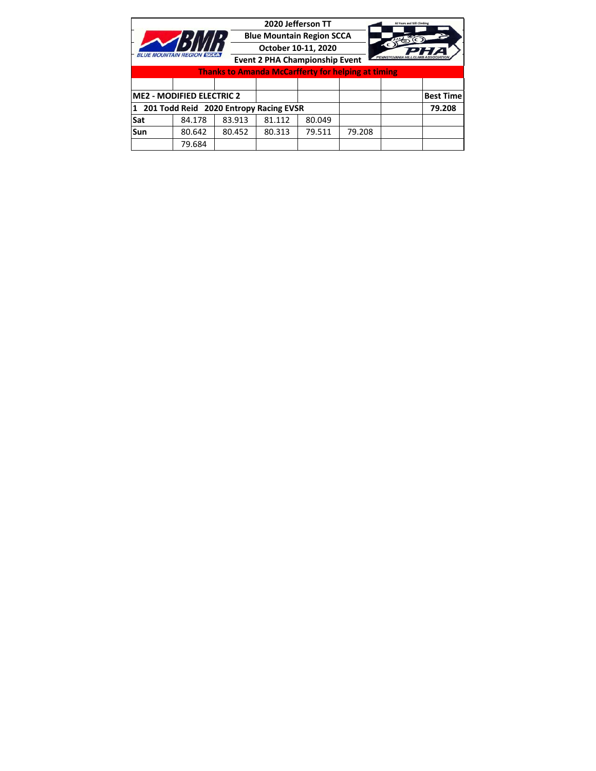| BLUE MOUNTAIN REGION             |                                                           |        | 2020 Jefferson TT<br><b>Blue Mountain Region SCCA</b><br>October 10-11, 2020<br><b>Event 2 PHA Championship Event</b> |        |        | 60 Years and Still Climbi<br><b>PENNSYLVANIA I</b> |                  |  |
|----------------------------------|-----------------------------------------------------------|--------|-----------------------------------------------------------------------------------------------------------------------|--------|--------|----------------------------------------------------|------------------|--|
|                                  | <b>Thanks to Amanda McCarfferty for helping at timing</b> |        |                                                                                                                       |        |        |                                                    |                  |  |
|                                  |                                                           |        |                                                                                                                       |        |        |                                                    |                  |  |
| <b>ME2 - MODIFIED ELECTRIC 2</b> |                                                           |        |                                                                                                                       |        |        |                                                    | <b>Best Time</b> |  |
| 1                                | 201 Todd Reid 2020 Entropy Racing EVSR                    |        |                                                                                                                       |        |        |                                                    | 79.208           |  |
| Sat                              | 84.178                                                    | 83.913 | 81.112                                                                                                                | 80.049 |        |                                                    |                  |  |
| Sun                              | 80.642                                                    | 80.452 | 80.313                                                                                                                | 79.511 | 79.208 |                                                    |                  |  |
|                                  | 79.684                                                    |        |                                                                                                                       |        |        |                                                    |                  |  |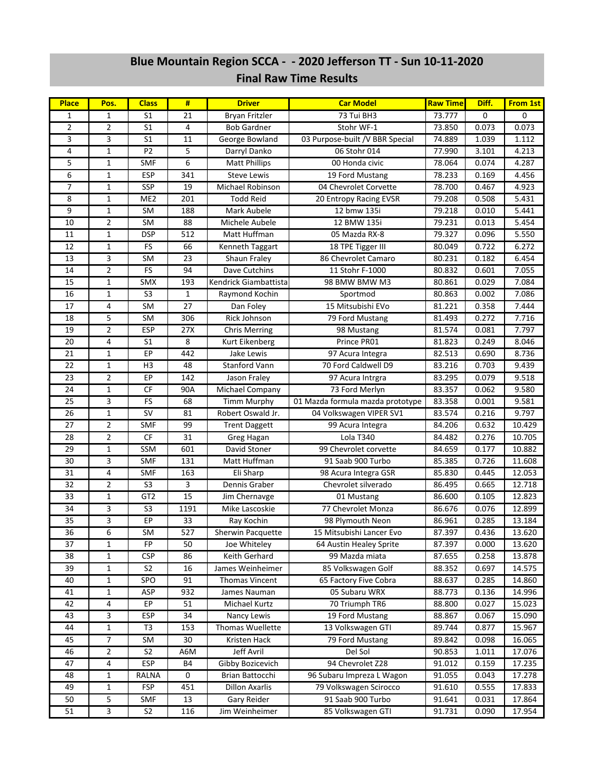# **Blue Mountain Region SCCA ‐ ‐ 2020 Jefferson TT ‐ Sun 10‐11‐2020 Final Raw Time Results**

| <b>Place</b>    | Pos.           | <b>Class</b>    | #            | <b>Driver</b>          | <b>Car Model</b>                 | <b>Raw Time</b> | Diff. | <b>From 1st</b> |
|-----------------|----------------|-----------------|--------------|------------------------|----------------------------------|-----------------|-------|-----------------|
| 1               | 1              | S1              | 21           | Bryan Fritzler         | 73 Tui BH3                       | 73.777          | 0     | 0               |
| $\overline{2}$  | 2              | S <sub>1</sub>  | 4            | <b>Bob Gardner</b>     | Stohr WF-1                       | 73.850          | 0.073 | 0.073           |
| 3               | 3              | S <sub>1</sub>  | 11           | George Bowland         | 03 Purpose-built /V BBR Special  | 74.889          | 1.039 | 1.112           |
| 4               | 1              | P <sub>2</sub>  | 5            | Darryl Danko           | 06 Stohr 014                     | 77.990          | 3.101 | 4.213           |
| 5               | 1              | SMF             | 6            | <b>Matt Phillips</b>   | 00 Honda civic                   | 78.064          | 0.074 | 4.287           |
| 6               | 1              | ESP             | 341          | <b>Steve Lewis</b>     | 19 Ford Mustang                  | 78.233          | 0.169 | 4.456           |
| $\overline{7}$  | 1              | SSP             | 19           | Michael Robinson       | 04 Chevrolet Corvette            | 78.700          | 0.467 | 4.923           |
| 8               | 1              | ME <sub>2</sub> | 201          | <b>Todd Reid</b>       | 20 Entropy Racing EVSR           | 79.208          | 0.508 | 5.431           |
| 9               | $\mathbf 1$    | SM              | 188          | Mark Aubele            | 12 bmw 135i                      | 79.218          | 0.010 | 5.441           |
| 10              | $\overline{2}$ | SM              | 88           | Michele Aubele         | 12 BMW 135i                      | 79.231          | 0.013 | 5.454           |
| 11              | 1              | <b>DSP</b>      | 512          | Matt Huffman           | 05 Mazda RX-8                    | 79.327          | 0.096 | 5.550           |
| 12              | $\mathbf{1}$   | FS              | 66           | Kenneth Taggart        | 18 TPE Tigger III                | 80.049          | 0.722 | 6.272           |
| 13              | 3              | SM              | 23           | Shaun Fraley           | 86 Chevrolet Camaro              | 80.231          | 0.182 | 6.454           |
| 14              | $\overline{2}$ | FS              | 94           | Dave Cutchins          | 11 Stohr F-1000                  | 80.832          | 0.601 | 7.055           |
| 15              | $\mathbf{1}$   | SMX             | 193          | Kendrick Giambattista  | 98 BMW BMW M3                    | 80.861          | 0.029 | 7.084           |
| 16              | 1              | S <sub>3</sub>  | $\mathbf{1}$ | Raymond Kochin         | Sportmod                         | 80.863          | 0.002 | 7.086           |
| 17              | 4              | SM              | 27           | Dan Foley              | 15 Mitsubishi EVo                | 81.221          | 0.358 | 7.444           |
| 18              | 5              | SM              | 306          | Rick Johnson           | 79 Ford Mustang                  | 81.493          | 0.272 | 7.716           |
| 19              | $\overline{2}$ | <b>ESP</b>      | 27X          | <b>Chris Merring</b>   | 98 Mustang                       | 81.574          | 0.081 | 7.797           |
| 20              | 4              | S1              | 8            | Kurt Eikenberg         | Prince PR01                      | 81.823          | 0.249 | 8.046           |
| 21              | 1              | EP              | 442          | Jake Lewis             | 97 Acura Integra                 | 82.513          | 0.690 | 8.736           |
| 22              | 1              | H <sub>3</sub>  | 48           | Stanford Vann          | 70 Ford Caldwell D9              | 83.216          | 0.703 | 9.439           |
| 23              | 2              | EР              | 142          | Jason Fraley           | 97 Acura Intrgra                 | 83.295          | 0.079 | 9.518           |
| 24              | 1              | <b>CF</b>       | 90A          | <b>Michael Company</b> | 73 Ford Merlyn                   | 83.357          | 0.062 | 9.580           |
| 25              | 3              | FS              | 68           | <b>Timm Murphy</b>     | 01 Mazda formula mazda prototype | 83.358          | 0.001 | 9.581           |
| 26              | 1              | <b>SV</b>       | 81           | Robert Oswald Jr.      | 04 Volkswagen VIPER SV1          | 83.574          | 0.216 | 9.797           |
| 27              | $\overline{2}$ | <b>SMF</b>      | 99           | <b>Trent Daggett</b>   | 99 Acura Integra                 | 84.206          | 0.632 | 10.429          |
| 28              | $\overline{2}$ | <b>CF</b>       | 31           | Greg Hagan             | Lola T340                        | 84.482          | 0.276 | 10.705          |
| 29              | 1              | SSM             | 601          | David Stoner           | 99 Chevrolet corvette            | 84.659          | 0.177 | 10.882          |
| 30              | 3              | <b>SMF</b>      | 131          | Matt Huffman           | 91 Saab 900 Turbo                | 85.385          | 0.726 | 11.608          |
| 31              | 4              | <b>SMF</b>      | 163          | Eli Sharp              | 98 Acura Integra GSR             | 85.830          | 0.445 | 12.053          |
| 32              | $\overline{2}$ | S <sub>3</sub>  | 3            | Dennis Graber          | Chevrolet silverado              | 86.495          | 0.665 | 12.718          |
| 33              | 1              | GT <sub>2</sub> | 15           | Jim Chernavge          | 01 Mustang                       | 86.600          | 0.105 | 12.823          |
| $\overline{34}$ | 3              | S <sub>3</sub>  | 1191         | Mike Lascoskie         | 77 Chevrolet Monza               | 86.676          | 0.076 | 12.899          |
| 35              | 3              | EP              | 33           | Ray Kochin             | 98 Plymouth Neon                 | 86.961          | 0.285 | 13.184          |
| 36              | 6              | SM              | 527          | Sherwin Pacquette      | 15 Mitsubishi Lancer Evo         | 87.397          | 0.436 | 13.620          |
| 37              | $\mathbf{1}$   | <b>FP</b>       | 50           | Joe Whiteley           | 64 Austin Healey Sprite          | 87.397          | 0.000 | 13.620          |
| 38              | $\mathbf{1}$   | <b>CSP</b>      | 86           | Keith Gerhard          | 99 Mazda miata                   | 87.655          | 0.258 | 13.878          |
| 39              | $\mathbf{1}$   | S <sub>2</sub>  | 16           | James Weinheimer       | 85 Volkswagen Golf               | 88.352          | 0.697 | 14.575          |
| 40              | $\mathbf{1}$   | <b>SPO</b>      | 91           | <b>Thomas Vincent</b>  | 65 Factory Five Cobra            | 88.637          | 0.285 | 14.860          |
| 41              | $\mathbf{1}$   | ASP             | 932          | James Nauman           | 05 Subaru WRX                    | 88.773          | 0.136 | 14.996          |
| 42              | 4              | EP              | 51           | Michael Kurtz          | 70 Triumph TR6                   | 88.800          | 0.027 | 15.023          |
| 43              | 3              | ESP             | 34           | Nancy Lewis            | 19 Ford Mustang                  | 88.867          | 0.067 | 15.090          |
| 44              | $\mathbf{1}$   | T <sub>3</sub>  | 153          | Thomas Wuellette       | 13 Volkswagen GTI                | 89.744          | 0.877 | 15.967          |
| 45              | $\overline{7}$ | SM              | 30           | Kristen Hack           | 79 Ford Mustang                  | 89.842          | 0.098 | 16.065          |
| 46              | $\overline{2}$ | S <sub>2</sub>  | A6M          | Jeff Avril             | Del Sol                          | 90.853          | 1.011 | 17.076          |
| 47              | 4              | <b>ESP</b>      | <b>B4</b>    | Gibby Bozicevich       | 94 Chevrolet Z28                 | 91.012          | 0.159 | 17.235          |
| 48              | 1              | RALNA           | 0            | Brian Battocchi        | 96 Subaru Impreza L Wagon        | 91.055          | 0.043 | 17.278          |
| 49              | 1              | <b>FSP</b>      | 451          | <b>Dillon Axarlis</b>  | 79 Volkswagen Scirocco           | 91.610          | 0.555 | 17.833          |
| 50              | 5              | <b>SMF</b>      | 13           | Gary Reider            | 91 Saab 900 Turbo                | 91.641          | 0.031 | 17.864          |
| 51              | 3              | S <sub>2</sub>  | 116          | Jim Weinheimer         | 85 Volkswagen GTI                | 91.731          | 0.090 | 17.954          |